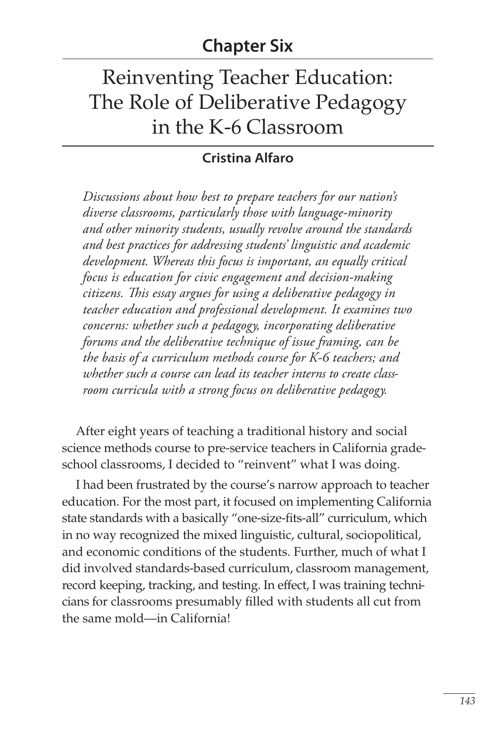# **Reinventing Teacher Education:** The Role of Deliberative Pedagogy in the K-6 Classroom

## **Cristina Alfaro**

Discussions about how best to prepare teachers for our nation's diverse classrooms, particularly those with language-minority and other minority students, usually revolve around the standards and best practices for addressing students' linguistic and academic development. Whereas this focus is important, an equally critical focus is education for civic engagement and decision-making citizens. This essay argues for using a deliberative pedagogy in teacher education and professional development. It examines two concerns: whether such a pedagogy, incorporating deliberative forums and the deliberative technique of issue framing, can be the basis of a curriculum methods course for K-6 teachers; and whether such a course can lead its teacher interns to create classroom curricula with a strong focus on deliberative pedagogy.

After eight years of teaching a traditional history and social science methods course to pre-service teachers in California gradeschool classrooms, I decided to "reinvent" what I was doing.

I had been frustrated by the course's narrow approach to teacher education. For the most part, it focused on implementing California state standards with a basically "one-size-fits-all" curriculum, which in no way recognized the mixed linguistic, cultural, sociopolitical, and economic conditions of the students. Further, much of what I did involved standards-based curriculum, classroom management, record keeping, tracking, and testing. In effect, I was training technicians for classrooms presumably filled with students all cut from the same mold-in California!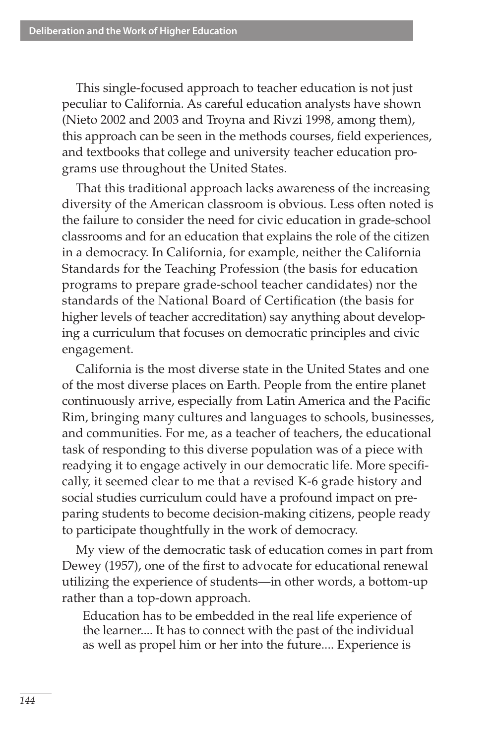This single-focused approach to teacher education is not just peculiar to California. As careful education analysts have shown (Nieto 2002 and 2003 and Troyna and Rivzi 1998, among them), this approach can be seen in the methods courses, field experiences, and textbooks that college and university teacher education programs use throughout the United States.

That this traditional approach lacks awareness of the increasing diversity of the American classroom is obvious. Less often noted is the failure to consider the need for civic education in grade-school classrooms and for an education that explains the role of the citizen in a democracy. In California, for example, neither the California Standards for the Teaching Profession (the basis for education programs to prepare grade-school teacher candidates) nor the standards of the National Board of Certification (the basis for higher levels of teacher accreditation) say anything about developing a curriculum that focuses on democratic principles and civic engagement.

California is the most diverse state in the United States and one of the most diverse places on Earth. People from the entire planet continuously arrive, especially from Latin America and the Pacific Rim, bringing many cultures and languages to schools, businesses, and communities. For me, as a teacher of teachers, the educational task of responding to this diverse population was of a piece with readying it to engage actively in our democratic life. More specifically, it seemed clear to me that a revised K-6 grade history and social studies curriculum could have a profound impact on preparing students to become decision-making citizens, people ready to participate thoughtfully in the work of democracy.

My view of the democratic task of education comes in part from Dewey (1957), one of the first to advocate for educational renewal utilizing the experience of students-in other words, a bottom-up rather than a top-down approach.

Education has to be embedded in the real life experience of the learner.... It has to connect with the past of the individual as well as propel him or her into the future.... Experience is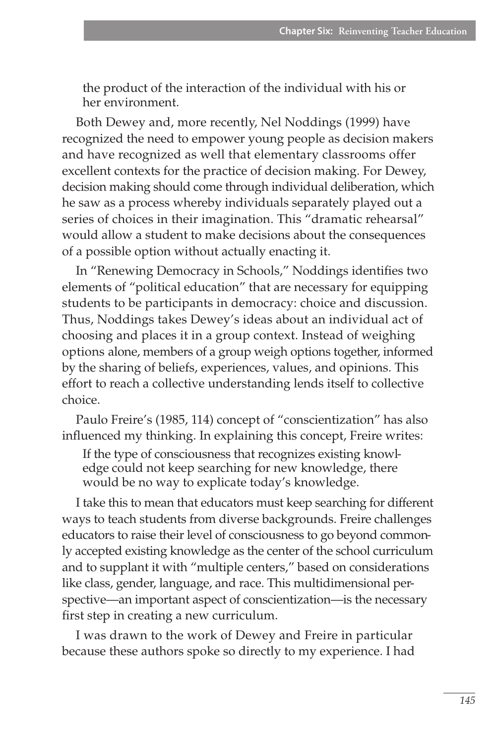the product of the interaction of the individual with his or her environment.

Both Dewey and, more recently, Nel Noddings (1999) have recognized the need to empower young people as decision makers and have recognized as well that elementary classrooms offer excellent contexts for the practice of decision making. For Dewey, decision making should come through individual deliberation, which he saw as a process whereby individuals separately played out a series of choices in their imagination. This "dramatic rehearsal" would allow a student to make decisions about the consequences of a possible option without actually enacting it.

In "Renewing Democracy in Schools," Noddings identifies two elements of "political education" that are necessary for equipping students to be participants in democracy: choice and discussion. Thus, Noddings takes Dewey's ideas about an individual act of choosing and places it in a group context. Instead of weighing options alone, members of a group weigh options together, informed by the sharing of beliefs, experiences, values, and opinions. This effort to reach a collective understanding lends itself to collective choice.

Paulo Freire's (1985, 114) concept of "conscientization" has also influenced my thinking. In explaining this concept, Freire writes:

If the type of consciousness that recognizes existing knowledge could not keep searching for new knowledge, there would be no way to explicate today's knowledge.

I take this to mean that educators must keep searching for different ways to teach students from diverse backgrounds. Freire challenges educators to raise their level of consciousness to go beyond commonly accepted existing knowledge as the center of the school curriculum and to supplant it with "multiple centers," based on considerations like class, gender, language, and race. This multidimensional perspective—an important aspect of conscientization—is the necessary first step in creating a new curriculum.

I was drawn to the work of Dewey and Freire in particular because these authors spoke so directly to my experience. I had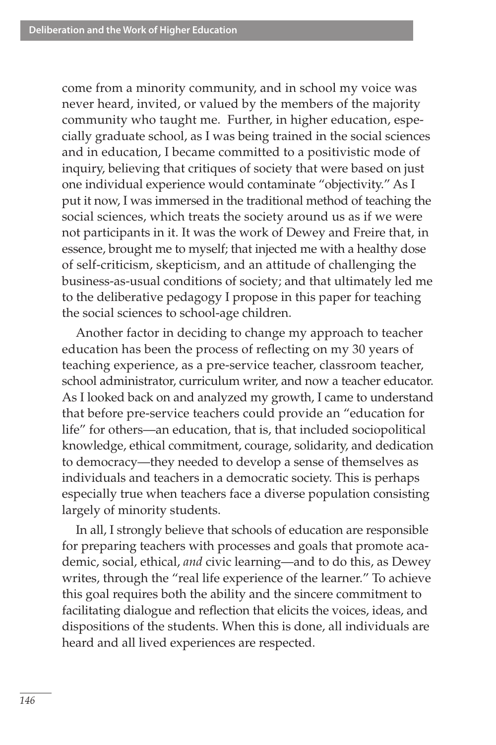come from a minority community, and in school my voice was never heard, invited, or valued by the members of the majority community who taught me. Further, in higher education, especially graduate school, as I was being trained in the social sciences and in education, I became committed to a positivistic mode of inquiry, believing that critiques of society that were based on just one individual experience would contaminate "objectivity." As I put it now, I was immersed in the traditional method of teaching the social sciences, which treats the society around us as if we were not participants in it. It was the work of Dewey and Freire that, in essence, brought me to myself; that injected me with a healthy dose of self-criticism, skepticism, and an attitude of challenging the business-as-usual conditions of society; and that ultimately led me to the deliberative pedagogy I propose in this paper for teaching the social sciences to school-age children.

Another factor in deciding to change my approach to teacher education has been the process of reflecting on my 30 years of teaching experience, as a pre-service teacher, classroom teacher, school administrator, curriculum writer, and now a teacher educator. As I looked back on and analyzed my growth, I came to understand that before pre-service teachers could provide an "education for life" for others—an education, that is, that included sociopolitical knowledge, ethical commitment, courage, solidarity, and dedication to democracy—they needed to develop a sense of themselves as individuals and teachers in a democratic society. This is perhaps especially true when teachers face a diverse population consisting largely of minority students.

In all, I strongly believe that schools of education are responsible for preparing teachers with processes and goals that promote academic, social, ethical, and civic learning—and to do this, as Dewey writes, through the "real life experience of the learner." To achieve this goal requires both the ability and the sincere commitment to facilitating dialogue and reflection that elicits the voices, ideas, and dispositions of the students. When this is done, all individuals are heard and all lived experiences are respected.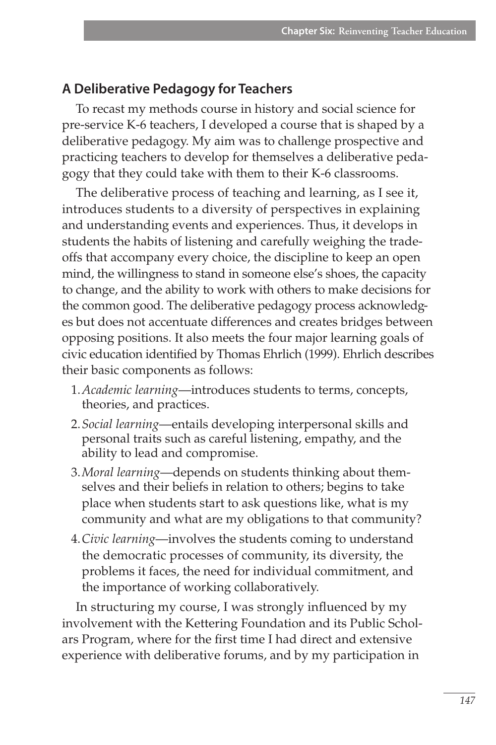## A Deliberative Pedagogy for Teachers

To recast my methods course in history and social science for pre-service K-6 teachers, I developed a course that is shaped by a deliberative pedagogy. My aim was to challenge prospective and practicing teachers to develop for themselves a deliberative pedagogy that they could take with them to their K-6 classrooms.

The deliberative process of teaching and learning, as I see it, introduces students to a diversity of perspectives in explaining and understanding events and experiences. Thus, it develops in students the habits of listening and carefully weighing the tradeoffs that accompany every choice, the discipline to keep an open mind, the willingness to stand in someone else's shoes, the capacity to change, and the ability to work with others to make decisions for the common good. The deliberative pedagogy process acknowledges but does not accentuate differences and creates bridges between opposing positions. It also meets the four major learning goals of civic education identified by Thomas Ehrlich (1999). Ehrlich describes their basic components as follows:

- 1. Academic learning-introduces students to terms, concepts, theories, and practices.
- 2. Social learning—entails developing interpersonal skills and personal traits such as careful listening, empathy, and the ability to lead and compromise.
- 3. Moral learning—depends on students thinking about themselves and their beliefs in relation to others; begins to take place when students start to ask questions like, what is my community and what are my obligations to that community?
- 4. Civic learning—involves the students coming to understand the democratic processes of community, its diversity, the problems it faces, the need for individual commitment, and the importance of working collaboratively.

In structuring my course, I was strongly influenced by my involvement with the Kettering Foundation and its Public Scholars Program, where for the first time I had direct and extensive experience with deliberative forums, and by my participation in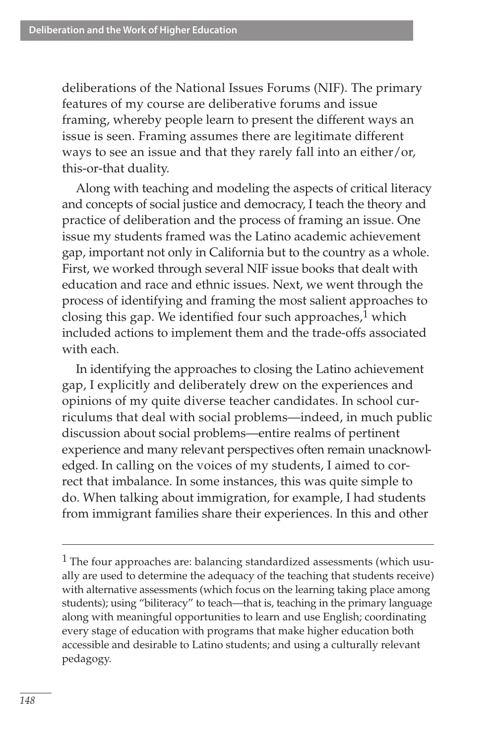deliberations of the National Issues Forums (NIF). The primary features of my course are deliberative forums and issue framing, whereby people learn to present the different ways an issue is seen. Framing assumes there are legitimate different ways to see an issue and that they rarely fall into an either/or, this-or-that duality.

Along with teaching and modeling the aspects of critical literacy and concepts of social justice and democracy, I teach the theory and practice of deliberation and the process of framing an issue. One issue my students framed was the Latino academic achievement gap, important not only in California but to the country as a whole. First, we worked through several NIF issue books that dealt with education and race and ethnic issues. Next, we went through the process of identifying and framing the most salient approaches to closing this gap. We identified four such approaches, $1$  which included actions to implement them and the trade-offs associated with each.

In identifying the approaches to closing the Latino achievement gap, I explicitly and deliberately drew on the experiences and opinions of my quite diverse teacher candidates. In school curriculums that deal with social problems-indeed, in much public discussion about social problems—entire realms of pertinent experience and many relevant perspectives often remain unacknowledged. In calling on the voices of my students, I aimed to correct that imbalance. In some instances, this was quite simple to do. When talking about immigration, for example, I had students from immigrant families share their experiences. In this and other

<sup>&</sup>lt;sup>1</sup> The four approaches are: balancing standardized assessments (which usually are used to determine the adequacy of the teaching that students receive) with alternative assessments (which focus on the learning taking place among students); using "biliteracy" to teach-that is, teaching in the primary language along with meaningful opportunities to learn and use English; coordinating every stage of education with programs that make higher education both accessible and desirable to Latino students; and using a culturally relevant pedagogy.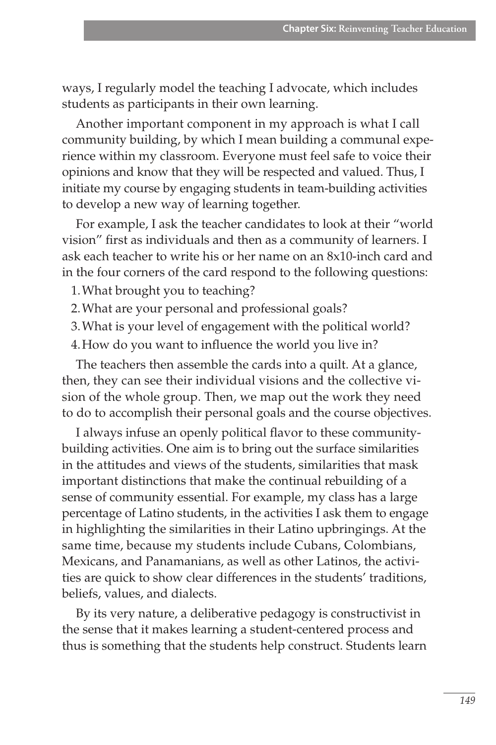ways, I regularly model the teaching I advocate, which includes students as participants in their own learning.

Another important component in my approach is what I call community building, by which I mean building a communal experience within my classroom. Everyone must feel safe to voice their opinions and know that they will be respected and valued. Thus, I initiate my course by engaging students in team-building activities to develop a new way of learning together.

For example, I ask the teacher candidates to look at their "world vision" first as individuals and then as a community of learners. I ask each teacher to write his or her name on an 8x10-inch card and in the four corners of the card respond to the following questions:

- 1. What brought you to teaching?
- 2. What are your personal and professional goals?
- 3. What is your level of engagement with the political world?
- 4. How do you want to influence the world you live in?

The teachers then assemble the cards into a quilt. At a glance, then, they can see their individual visions and the collective vision of the whole group. Then, we map out the work they need to do to accomplish their personal goals and the course objectives.

I always infuse an openly political flavor to these communitybuilding activities. One aim is to bring out the surface similarities in the attitudes and views of the students, similarities that mask important distinctions that make the continual rebuilding of a sense of community essential. For example, my class has a large percentage of Latino students, in the activities I ask them to engage in highlighting the similarities in their Latino upbringings. At the same time, because my students include Cubans, Colombians, Mexicans, and Panamanians, as well as other Latinos, the activities are quick to show clear differences in the students' traditions, beliefs, values, and dialects.

By its very nature, a deliberative pedagogy is constructivist in the sense that it makes learning a student-centered process and thus is something that the students help construct. Students learn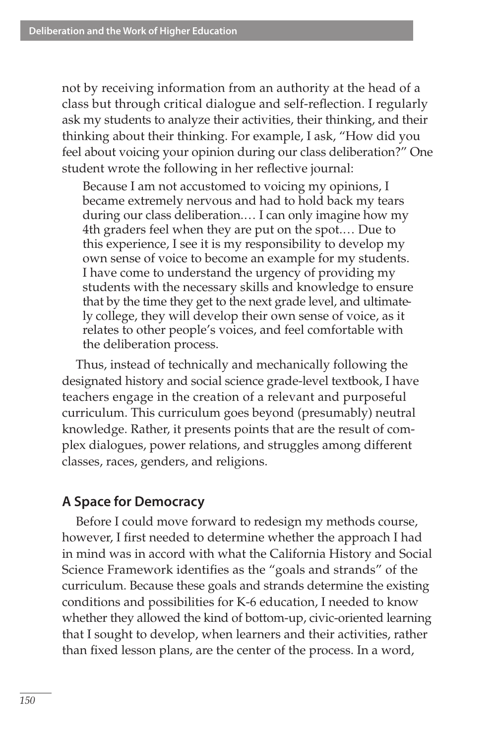not by receiving information from an authority at the head of a class but through critical dialogue and self-reflection. I regularly ask my students to analyze their activities, their thinking, and their thinking about their thinking. For example, I ask, "How did you feel about voicing your opinion during our class deliberation?" One student wrote the following in her reflective journal:

Because I am not accustomed to voicing my opinions, I became extremely nervous and had to hold back my tears during our class deliberation.... I can only imagine how my 4th graders feel when they are put on the spot.... Due to this experience, I see it is my responsibility to develop my own sense of voice to become an example for my students. I have come to understand the urgency of providing my students with the necessary skills and knowledge to ensure that by the time they get to the next grade level, and ultimately college, they will develop their own sense of voice, as it relates to other people's voices, and feel comfortable with the deliberation process.

Thus, instead of technically and mechanically following the designated history and social science grade-level textbook, I have teachers engage in the creation of a relevant and purposeful curriculum. This curriculum goes beyond (presumably) neutral knowledge. Rather, it presents points that are the result of complex dialogues, power relations, and struggles among different classes, races, genders, and religions.

## **A Space for Democracy**

Before I could move forward to redesign my methods course, however, I first needed to determine whether the approach I had in mind was in accord with what the California History and Social Science Framework identifies as the "goals and strands" of the curriculum. Because these goals and strands determine the existing conditions and possibilities for K-6 education, I needed to know whether they allowed the kind of bottom-up, civic-oriented learning that I sought to develop, when learners and their activities, rather than fixed lesson plans, are the center of the process. In a word,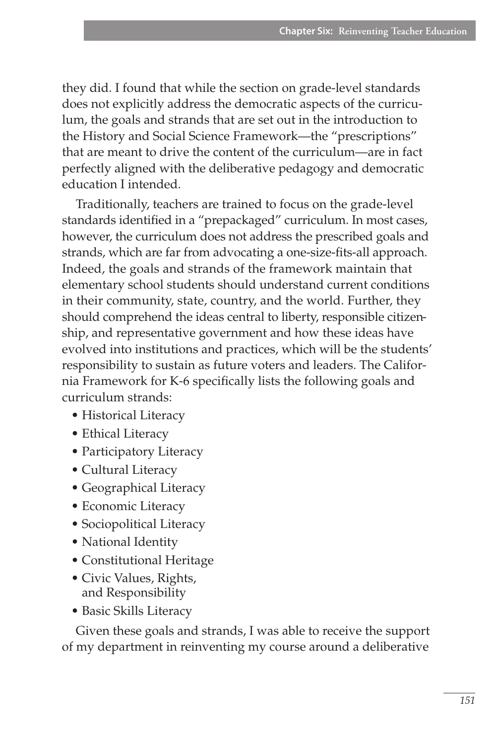they did. I found that while the section on grade-level standards does not explicitly address the democratic aspects of the curriculum, the goals and strands that are set out in the introduction to the History and Social Science Framework—the "prescriptions" that are meant to drive the content of the curriculum—are in fact perfectly aligned with the deliberative pedagogy and democratic education I intended.

Traditionally, teachers are trained to focus on the grade-level standards identified in a "prepackaged" curriculum. In most cases, however, the curriculum does not address the prescribed goals and strands, which are far from advocating a one-size-fits-all approach. Indeed, the goals and strands of the framework maintain that elementary school students should understand current conditions in their community, state, country, and the world. Further, they should comprehend the ideas central to liberty, responsible citizenship, and representative government and how these ideas have evolved into institutions and practices, which will be the students' responsibility to sustain as future voters and leaders. The California Framework for K-6 specifically lists the following goals and curriculum strands:

- Historical Literacy
- Ethical Literacy
- Participatory Literacy
- Cultural Literacy
- Geographical Literacy
- Economic Literacy
- Sociopolitical Literacy
- National Identity
- Constitutional Heritage
- Civic Values, Rights, and Responsibility
- Basic Skills Literacy

Given these goals and strands, I was able to receive the support of my department in reinventing my course around a deliberative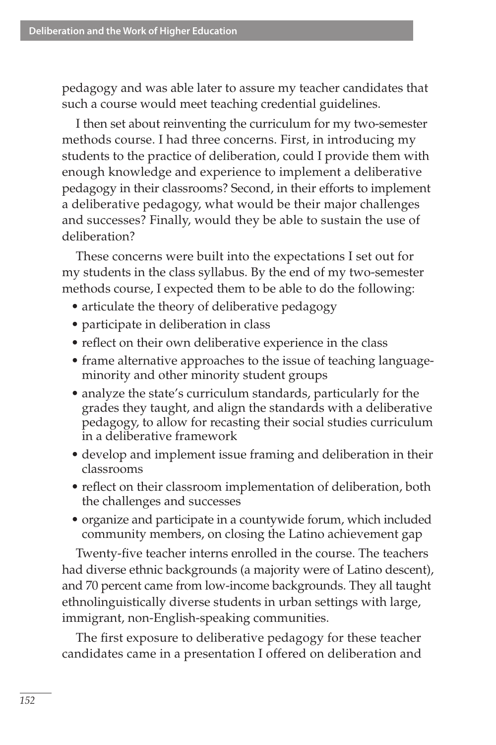pedagogy and was able later to assure my teacher candidates that such a course would meet teaching credential guidelines.

I then set about reinventing the curriculum for my two-semester methods course. I had three concerns. First, in introducing my students to the practice of deliberation, could I provide them with enough knowledge and experience to implement a deliberative pedagogy in their classrooms? Second, in their efforts to implement a deliberative pedagogy, what would be their major challenges and successes? Finally, would they be able to sustain the use of deliberation?

These concerns were built into the expectations I set out for my students in the class syllabus. By the end of my two-semester methods course, I expected them to be able to do the following:

- articulate the theory of deliberative pedagogy
- participate in deliberation in class
- reflect on their own deliberative experience in the class
- frame alternative approaches to the issue of teaching languageminority and other minority student groups
- analyze the state's curriculum standards, particularly for the grades they taught, and align the standards with a deliberative pedagogy, to allow for recasting their social studies curriculum in a deliberative framework
- develop and implement issue framing and deliberation in their classrooms
- reflect on their classroom implementation of deliberation, both the challenges and successes
- organize and participate in a countywide forum, which included community members, on closing the Latino achievement gap

Twenty-five teacher interns enrolled in the course. The teachers had diverse ethnic backgrounds (a majority were of Latino descent), and 70 percent came from low-income backgrounds. They all taught ethnolinguistically diverse students in urban settings with large, immigrant, non-English-speaking communities.

The first exposure to deliberative pedagogy for these teacher candidates came in a presentation I offered on deliberation and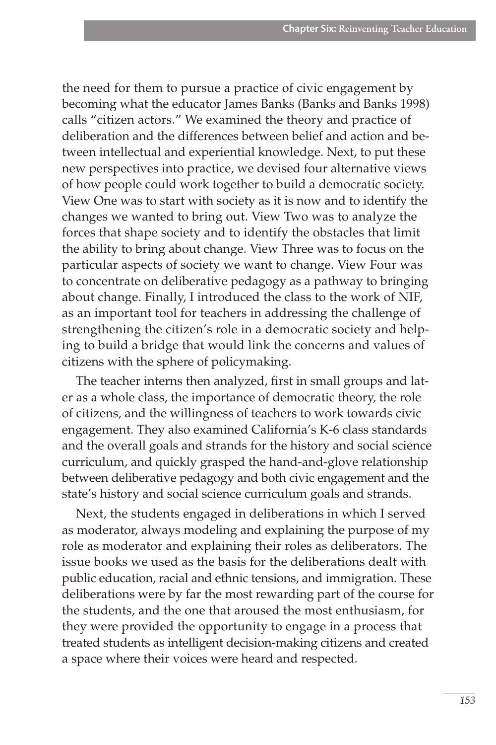the need for them to pursue a practice of civic engagement by becoming what the educator James Banks (Banks and Banks 1998) calls "citizen actors." We examined the theory and practice of deliberation and the differences between belief and action and between intellectual and experiential knowledge. Next, to put these new perspectives into practice, we devised four alternative views of how people could work together to build a democratic society. View One was to start with society as it is now and to identify the changes we wanted to bring out. View Two was to analyze the forces that shape society and to identify the obstacles that limit the ability to bring about change. View Three was to focus on the particular aspects of society we want to change. View Four was to concentrate on deliberative pedagogy as a pathway to bringing about change. Finally, I introduced the class to the work of NIF, as an important tool for teachers in addressing the challenge of strengthening the citizen's role in a democratic society and helping to build a bridge that would link the concerns and values of citizens with the sphere of policymaking.

The teacher interns then analyzed, first in small groups and later as a whole class, the importance of democratic theory, the role of citizens, and the willingness of teachers to work towards civic engagement. They also examined California's K-6 class standards and the overall goals and strands for the history and social science curriculum, and quickly grasped the hand-and-glove relationship between deliberative pedagogy and both civic engagement and the state's history and social science curriculum goals and strands.

Next, the students engaged in deliberations in which I served as moderator, always modeling and explaining the purpose of my role as moderator and explaining their roles as deliberators. The issue books we used as the basis for the deliberations dealt with public education, racial and ethnic tensions, and immigration. These deliberations were by far the most rewarding part of the course for the students, and the one that aroused the most enthusiasm, for they were provided the opportunity to engage in a process that treated students as intelligent decision-making citizens and created a space where their voices were heard and respected.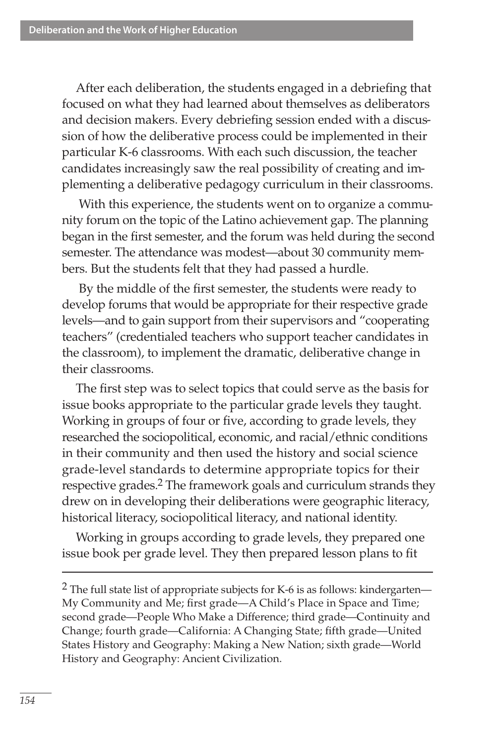After each deliberation, the students engaged in a debriefing that focused on what they had learned about themselves as deliberators and decision makers. Every debriefing session ended with a discussion of how the deliberative process could be implemented in their particular K-6 classrooms. With each such discussion, the teacher candidates increasingly saw the real possibility of creating and implementing a deliberative pedagogy curriculum in their classrooms.

With this experience, the students went on to organize a community forum on the topic of the Latino achievement gap. The planning began in the first semester, and the forum was held during the second semester. The attendance was modest-about 30 community members. But the students felt that they had passed a hurdle.

By the middle of the first semester, the students were ready to develop forums that would be appropriate for their respective grade levels—and to gain support from their supervisors and "cooperating teachers" (credentialed teachers who support teacher candidates in the classroom), to implement the dramatic, deliberative change in their classrooms.

The first step was to select topics that could serve as the basis for issue books appropriate to the particular grade levels they taught. Working in groups of four or five, according to grade levels, they researched the sociopolitical, economic, and racial/ethnic conditions in their community and then used the history and social science grade-level standards to determine appropriate topics for their respective grades.<sup>2</sup> The framework goals and curriculum strands they drew on in developing their deliberations were geographic literacy, historical literacy, sociopolitical literacy, and national identity.

Working in groups according to grade levels, they prepared one issue book per grade level. They then prepared lesson plans to fit

<sup>&</sup>lt;sup>2</sup> The full state list of appropriate subjects for K-6 is as follows: kindergarten-My Community and Me; first grade-A Child's Place in Space and Time; second grade—People Who Make a Difference; third grade—Continuity and Change; fourth grade—California: A Changing State; fifth grade—United States History and Geography: Making a New Nation; sixth grade-World History and Geography: Ancient Civilization.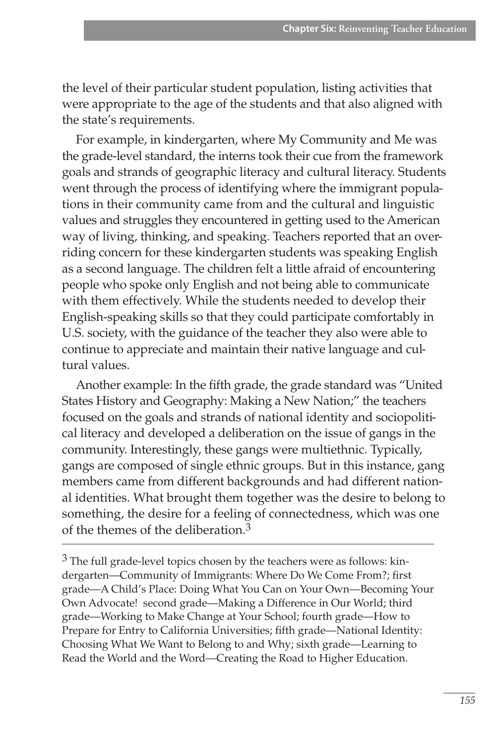the level of their particular student population, listing activities that were appropriate to the age of the students and that also aligned with the state's requirements.

For example, in kindergarten, where My Community and Me was the grade-level standard, the interns took their cue from the framework goals and strands of geographic literacy and cultural literacy. Students went through the process of identifying where the immigrant populations in their community came from and the cultural and linguistic values and struggles they encountered in getting used to the American way of living, thinking, and speaking. Teachers reported that an overriding concern for these kindergarten students was speaking English as a second language. The children felt a little afraid of encountering people who spoke only English and not being able to communicate with them effectively. While the students needed to develop their English-speaking skills so that they could participate comfortably in U.S. society, with the guidance of the teacher they also were able to continue to appreciate and maintain their native language and cultural values.

Another example: In the fifth grade, the grade standard was "United States History and Geography: Making a New Nation;" the teachers focused on the goals and strands of national identity and sociopolitical literacy and developed a deliberation on the issue of gangs in the community. Interestingly, these gangs were multiethnic. Typically, gangs are composed of single ethnic groups. But in this instance, gang members came from different backgrounds and had different national identities. What brought them together was the desire to belong to something, the desire for a feeling of connectedness, which was one of the themes of the deliberation.<sup>3</sup>

 $3$  The full grade-level topics chosen by the teachers were as follows: kindergarten-Community of Immigrants: Where Do We Come From?; first grade—A Child's Place: Doing What You Can on Your Own—Becoming Your Own Advocate! second grade—Making a Difference in Our World; third grade—Working to Make Change at Your School; fourth grade—How to Prepare for Entry to California Universities; fifth grade-National Identity: Choosing What We Want to Belong to and Why; sixth grade—Learning to Read the World and the Word—Creating the Road to Higher Education.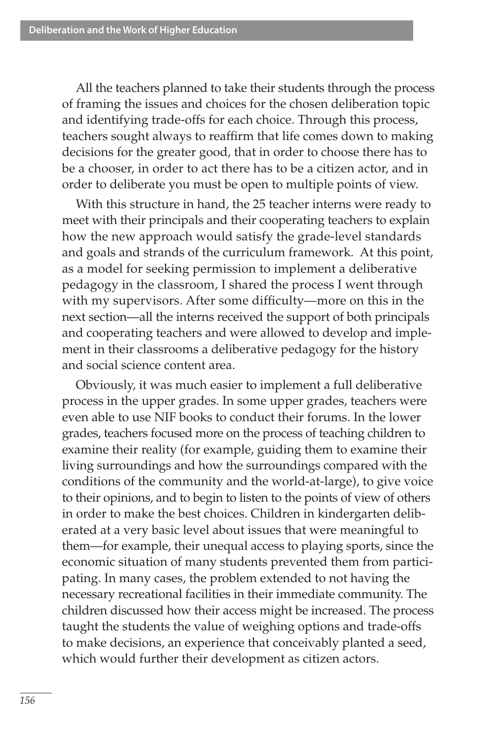All the teachers planned to take their students through the process of framing the issues and choices for the chosen deliberation topic and identifying trade-offs for each choice. Through this process, teachers sought always to reaffirm that life comes down to making decisions for the greater good, that in order to choose there has to be a chooser, in order to act there has to be a citizen actor, and in order to deliberate you must be open to multiple points of view.

With this structure in hand, the 25 teacher interns were ready to meet with their principals and their cooperating teachers to explain how the new approach would satisfy the grade-level standards and goals and strands of the curriculum framework. At this point, as a model for seeking permission to implement a deliberative pedagogy in the classroom, I shared the process I went through with my supervisors. After some difficulty-more on this in the next section—all the interns received the support of both principals and cooperating teachers and were allowed to develop and implement in their classrooms a deliberative pedagogy for the history and social science content area.

Obviously, it was much easier to implement a full deliberative process in the upper grades. In some upper grades, teachers were even able to use NIF books to conduct their forums. In the lower grades, teachers focused more on the process of teaching children to examine their reality (for example, guiding them to examine their living surroundings and how the surroundings compared with the conditions of the community and the world-at-large), to give voice to their opinions, and to begin to listen to the points of view of others in order to make the best choices. Children in kindergarten deliberated at a very basic level about issues that were meaningful to them—for example, their unequal access to playing sports, since the economic situation of many students prevented them from participating. In many cases, the problem extended to not having the necessary recreational facilities in their immediate community. The children discussed how their access might be increased. The process taught the students the value of weighing options and trade-offs to make decisions, an experience that conceivably planted a seed, which would further their development as citizen actors.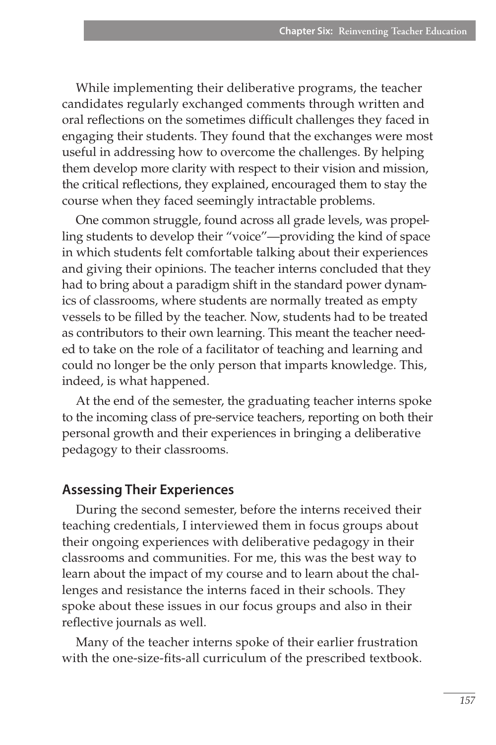While implementing their deliberative programs, the teacher candidates regularly exchanged comments through written and oral reflections on the sometimes difficult challenges they faced in engaging their students. They found that the exchanges were most useful in addressing how to overcome the challenges. By helping them develop more clarity with respect to their vision and mission, the critical reflections, they explained, encouraged them to stay the course when they faced seemingly intractable problems.

One common struggle, found across all grade levels, was propelling students to develop their "voice"—providing the kind of space in which students felt comfortable talking about their experiences and giving their opinions. The teacher interns concluded that they had to bring about a paradigm shift in the standard power dynamics of classrooms, where students are normally treated as empty vessels to be filled by the teacher. Now, students had to be treated as contributors to their own learning. This meant the teacher needed to take on the role of a facilitator of teaching and learning and could no longer be the only person that imparts knowledge. This, indeed, is what happened.

At the end of the semester, the graduating teacher interns spoke to the incoming class of pre-service teachers, reporting on both their personal growth and their experiences in bringing a deliberative pedagogy to their classrooms.

### **Assessing Their Experiences**

During the second semester, before the interns received their teaching credentials, I interviewed them in focus groups about their ongoing experiences with deliberative pedagogy in their classrooms and communities. For me, this was the best way to learn about the impact of my course and to learn about the challenges and resistance the interns faced in their schools. They spoke about these issues in our focus groups and also in their reflective journals as well.

Many of the teacher interns spoke of their earlier frustration with the one-size-fits-all curriculum of the prescribed textbook.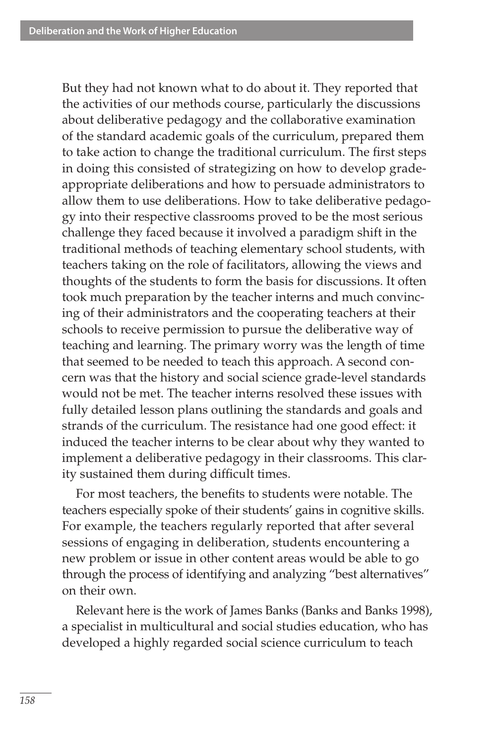But they had not known what to do about it. They reported that the activities of our methods course, particularly the discussions about deliberative pedagogy and the collaborative examination of the standard academic goals of the curriculum, prepared them to take action to change the traditional curriculum. The first steps in doing this consisted of strategizing on how to develop gradeappropriate deliberations and how to persuade administrators to allow them to use deliberations. How to take deliberative pedagogy into their respective classrooms proved to be the most serious challenge they faced because it involved a paradigm shift in the traditional methods of teaching elementary school students, with teachers taking on the role of facilitators, allowing the views and thoughts of the students to form the basis for discussions. It often took much preparation by the teacher interns and much convincing of their administrators and the cooperating teachers at their schools to receive permission to pursue the deliberative way of teaching and learning. The primary worry was the length of time that seemed to be needed to teach this approach. A second concern was that the history and social science grade-level standards would not be met. The teacher interns resolved these issues with fully detailed lesson plans outlining the standards and goals and strands of the curriculum. The resistance had one good effect: it induced the teacher interns to be clear about why they wanted to implement a deliberative pedagogy in their classrooms. This clarity sustained them during difficult times.

For most teachers, the benefits to students were notable. The teachers especially spoke of their students' gains in cognitive skills. For example, the teachers regularly reported that after several sessions of engaging in deliberation, students encountering a new problem or issue in other content areas would be able to go through the process of identifying and analyzing "best alternatives" on their own.

Relevant here is the work of James Banks (Banks and Banks 1998), a specialist in multicultural and social studies education, who has developed a highly regarded social science curriculum to teach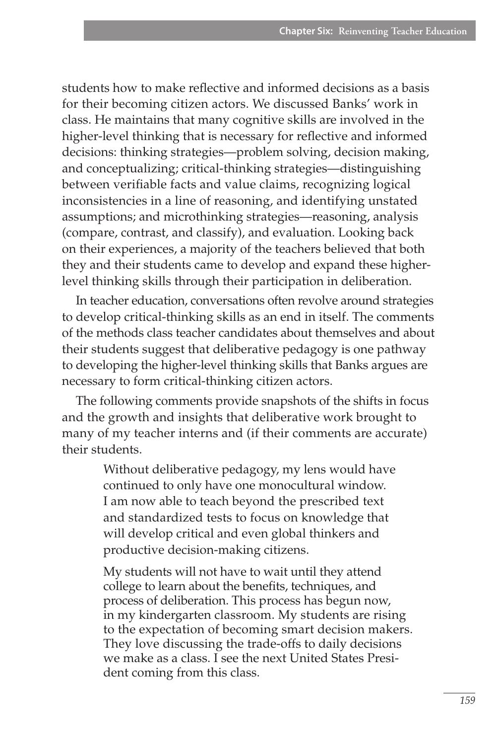students how to make reflective and informed decisions as a basis for their becoming citizen actors. We discussed Banks' work in class. He maintains that many cognitive skills are involved in the higher-level thinking that is necessary for reflective and informed decisions: thinking strategies—problem solving, decision making, and conceptualizing; critical-thinking strategies-distinguishing between verifiable facts and value claims, recognizing logical inconsistencies in a line of reasoning, and identifying unstated assumptions; and microthinking strategies—reasoning, analysis (compare, contrast, and classify), and evaluation. Looking back on their experiences, a majority of the teachers believed that both they and their students came to develop and expand these higherlevel thinking skills through their participation in deliberation.

In teacher education, conversations often revolve around strategies to develop critical-thinking skills as an end in itself. The comments of the methods class teacher candidates about themselves and about their students suggest that deliberative pedagogy is one pathway to developing the higher-level thinking skills that Banks argues are necessary to form critical-thinking citizen actors.

The following comments provide snapshots of the shifts in focus and the growth and insights that deliberative work brought to many of my teacher interns and (if their comments are accurate) their students.

> Without deliberative pedagogy, my lens would have continued to only have one monocultural window. I am now able to teach beyond the prescribed text and standardized tests to focus on knowledge that will develop critical and even global thinkers and productive decision-making citizens.

My students will not have to wait until they attend college to learn about the benefits, techniques, and process of deliberation. This process has begun now, in my kindergarten classroom. My students are rising to the expectation of becoming smart decision makers. They love discussing the trade-offs to daily decisions we make as a class. I see the next United States President coming from this class.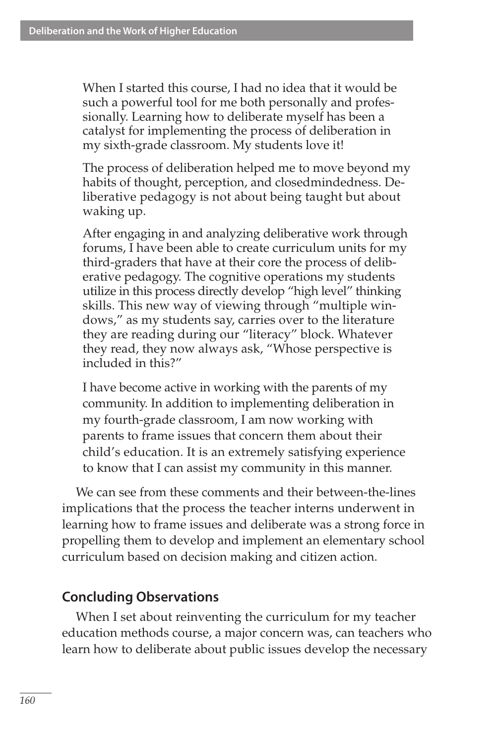When I started this course, I had no idea that it would be such a powerful tool for me both personally and professionally. Learning how to deliberate myself has been a catalyst for implementing the process of deliberation in my sixth-grade classroom. My students love it!

The process of deliberation helped me to move beyond my habits of thought, perception, and closedmindedness. Deliberative pedagogy is not about being taught but about waking up.

After engaging in and analyzing deliberative work through forums, I have been able to create curriculum units for my third-graders that have at their core the process of deliberative pedagogy. The cognitive operations my students utilize in this process directly develop "high level" thinking skills. This new way of viewing through "multiple windows," as my students say, carries over to the literature they are reading during our "literacy" block. Whatever they read, they now always ask, "Whose perspective is included in this?"

I have become active in working with the parents of my community. In addition to implementing deliberation in my fourth-grade classroom, I am now working with parents to frame issues that concern them about their child's education. It is an extremely satisfying experience to know that I can assist my community in this manner.

We can see from these comments and their between-the-lines implications that the process the teacher interns underwent in learning how to frame issues and deliberate was a strong force in propelling them to develop and implement an elementary school curriculum based on decision making and citizen action.

## **Concluding Observations**

When I set about reinventing the curriculum for my teacher education methods course, a major concern was, can teachers who learn how to deliberate about public issues develop the necessary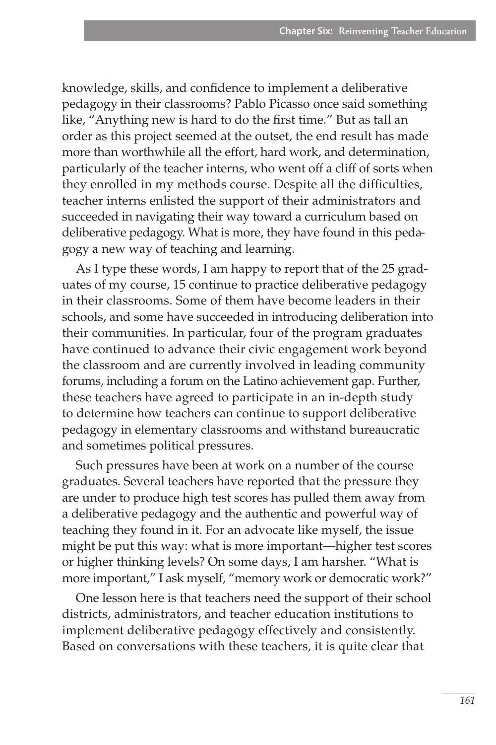knowledge, skills, and confidence to implement a deliberative pedagogy in their classrooms? Pablo Picasso once said something like, "Anything new is hard to do the first time." But as tall an order as this project seemed at the outset, the end result has made more than worthwhile all the effort, hard work, and determination, particularly of the teacher interns, who went off a cliff of sorts when they enrolled in my methods course. Despite all the difficulties, teacher interns enlisted the support of their administrators and succeeded in navigating their way toward a curriculum based on deliberative pedagogy. What is more, they have found in this pedagogy a new way of teaching and learning.

As I type these words, I am happy to report that of the 25 graduates of my course, 15 continue to practice deliberative pedagogy in their classrooms. Some of them have become leaders in their schools, and some have succeeded in introducing deliberation into their communities. In particular, four of the program graduates have continued to advance their civic engagement work beyond the classroom and are currently involved in leading community forums, including a forum on the Latino achievement gap. Further, these teachers have agreed to participate in an in-depth study to determine how teachers can continue to support deliberative pedagogy in elementary classrooms and withstand bureaucratic and sometimes political pressures.

Such pressures have been at work on a number of the course graduates. Several teachers have reported that the pressure they are under to produce high test scores has pulled them away from a deliberative pedagogy and the authentic and powerful way of teaching they found in it. For an advocate like myself, the issue might be put this way: what is more important—higher test scores or higher thinking levels? On some days, I am harsher. "What is more important," I ask myself, "memory work or democratic work?"

One lesson here is that teachers need the support of their school districts, administrators, and teacher education institutions to implement deliberative pedagogy effectively and consistently. Based on conversations with these teachers, it is quite clear that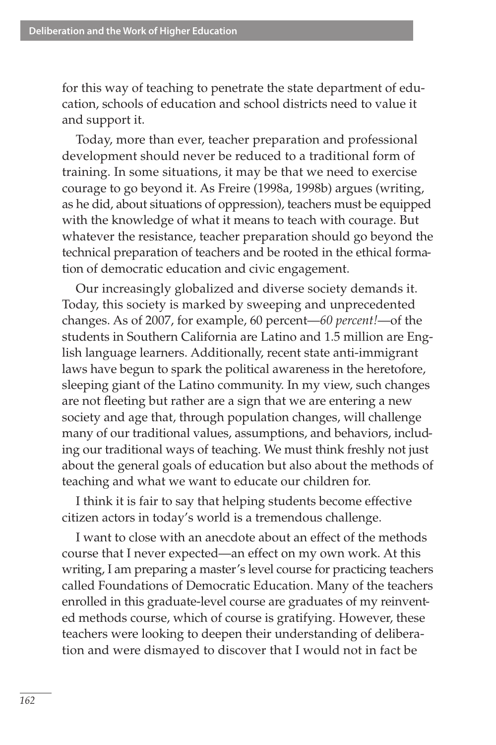for this way of teaching to penetrate the state department of education, schools of education and school districts need to value it and support it.

Today, more than ever, teacher preparation and professional development should never be reduced to a traditional form of training. In some situations, it may be that we need to exercise courage to go beyond it. As Freire (1998a, 1998b) argues (writing, as he did, about situations of oppression), teachers must be equipped with the knowledge of what it means to teach with courage. But whatever the resistance, teacher preparation should go beyond the technical preparation of teachers and be rooted in the ethical formation of democratic education and civic engagement.

Our increasingly globalized and diverse society demands it. Today, this society is marked by sweeping and unprecedented changes. As of 2007, for example, 60 percent-60 percent!-of the students in Southern California are Latino and 1.5 million are English language learners. Additionally, recent state anti-immigrant laws have begun to spark the political awareness in the heretofore, sleeping giant of the Latino community. In my view, such changes are not fleeting but rather are a sign that we are entering a new society and age that, through population changes, will challenge many of our traditional values, assumptions, and behaviors, including our traditional ways of teaching. We must think freshly not just about the general goals of education but also about the methods of teaching and what we want to educate our children for.

I think it is fair to say that helping students become effective citizen actors in today's world is a tremendous challenge.

I want to close with an anecdote about an effect of the methods course that I never expected—an effect on my own work. At this writing, I am preparing a master's level course for practicing teachers called Foundations of Democratic Education. Many of the teachers enrolled in this graduate-level course are graduates of my reinvented methods course, which of course is gratifying. However, these teachers were looking to deepen their understanding of deliberation and were dismayed to discover that I would not in fact be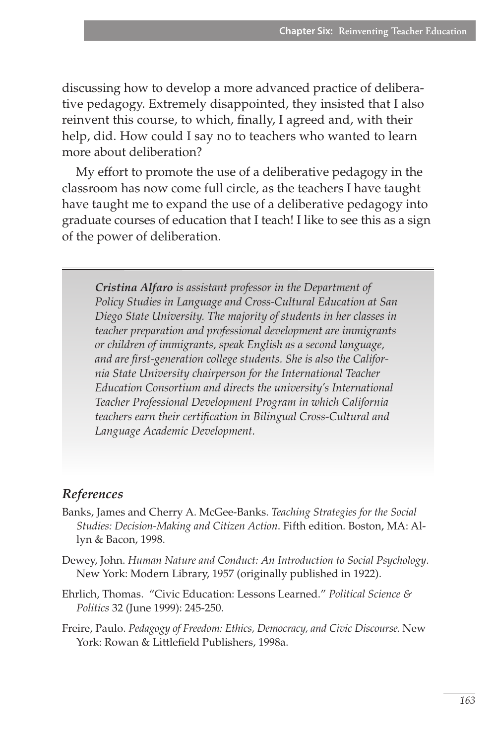discussing how to develop a more advanced practice of deliberative pedagogy. Extremely disappointed, they insisted that I also reinvent this course, to which, finally, I agreed and, with their help, did. How could I say no to teachers who wanted to learn more about deliberation?

My effort to promote the use of a deliberative pedagogy in the classroom has now come full circle, as the teachers I have taught have taught me to expand the use of a deliberative pedagogy into graduate courses of education that I teach! I like to see this as a sign of the power of deliberation.

Cristina Alfaro is assistant professor in the Department of Policy Studies in Language and Cross-Cultural Education at San Diego State University. The majority of students in her classes in teacher preparation and professional development are immigrants or children of immigrants, speak English as a second language, and are first-generation college students. She is also the California State University chairperson for the International Teacher Education Consortium and directs the university's International Teacher Professional Development Program in which California teachers earn their certification in Bilingual Cross-Cultural and Language Academic Development.

## References

- Banks, James and Cherry A. McGee-Banks. Teaching Strategies for the Social Studies: Decision-Making and Citizen Action. Fifth edition. Boston, MA: Allyn & Bacon, 1998.
- Dewey, John. Human Nature and Conduct: An Introduction to Social Psychology. New York: Modern Library, 1957 (originally published in 1922).
- Ehrlich, Thomas. "Civic Education: Lessons Learned." Political Science & Politics 32 (June 1999): 245-250.
- Freire, Paulo. Pedagogy of Freedom: Ethics, Democracy, and Civic Discourse. New York: Rowan & Littlefield Publishers, 1998a.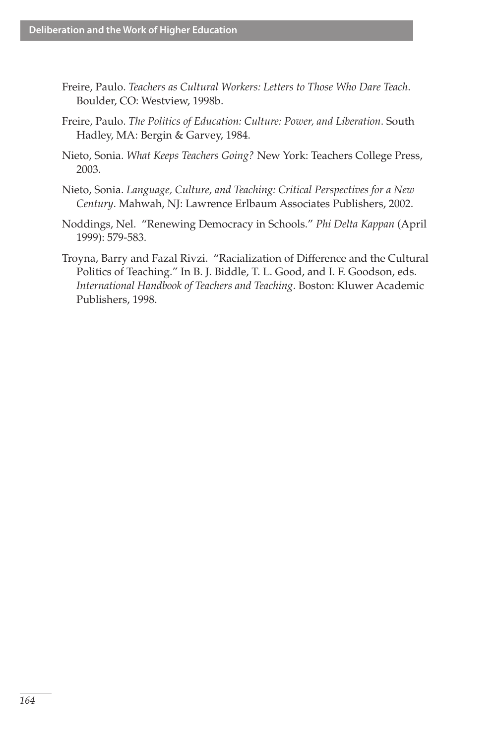- Freire, Paulo. Teachers as Cultural Workers: Letters to Those Who Dare Teach. Boulder, CO: Westview, 1998b.
- Freire, Paulo. The Politics of Education: Culture: Power, and Liberation. South Hadley, MA: Bergin & Garvey, 1984.
- Nieto, Sonia. What Keeps Teachers Going? New York: Teachers College Press, 2003.
- Nieto, Sonia. Language, Culture, and Teaching: Critical Perspectives for a New Century. Mahwah, NJ: Lawrence Erlbaum Associates Publishers, 2002.
- Noddings, Nel. "Renewing Democracy in Schools." Phi Delta Kappan (April 1999): 579-583.
- Troyna, Barry and Fazal Rivzi. "Racialization of Difference and the Cultural Politics of Teaching." In B. J. Biddle, T. L. Good, and I. F. Goodson, eds. International Handbook of Teachers and Teaching. Boston: Kluwer Academic Publishers, 1998.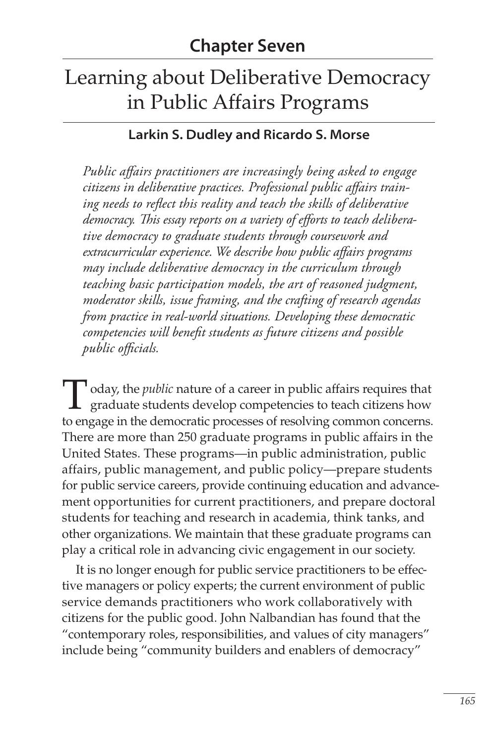# Learning about Deliberative Democracy in Public Affairs Programs

## Larkin S. Dudley and Ricardo S. Morse

Public affairs practitioners are increasingly being asked to engage citizens in deliberative practices. Professional public affairs training needs to reflect this reality and teach the skills of deliberative democracy. This essay reports on a variety of efforts to teach deliberative democracy to graduate students through coursework and extracurricular experience. We describe how public affairs programs may include deliberative democracy in the curriculum through teaching basic participation models, the art of reasoned judgment, moderator skills, issue framing, and the crafting of research agendas from practice in real-world situations. Developing these democratic competencies will benefit students as future citizens and possible *public officials.* 

oday, the *public* nature of a career in public affairs requires that graduate students develop competencies to teach citizens how to engage in the democratic processes of resolving common concerns. There are more than 250 graduate programs in public affairs in the United States. These programs-in public administration, public affairs, public management, and public policy-prepare students for public service careers, provide continuing education and advancement opportunities for current practitioners, and prepare doctoral students for teaching and research in academia, think tanks, and other organizations. We maintain that these graduate programs can play a critical role in advancing civic engagement in our society.

It is no longer enough for public service practitioners to be effective managers or policy experts; the current environment of public service demands practitioners who work collaboratively with citizens for the public good. John Nalbandian has found that the "contemporary roles, responsibilities, and values of city managers" include being "community builders and enablers of democracy"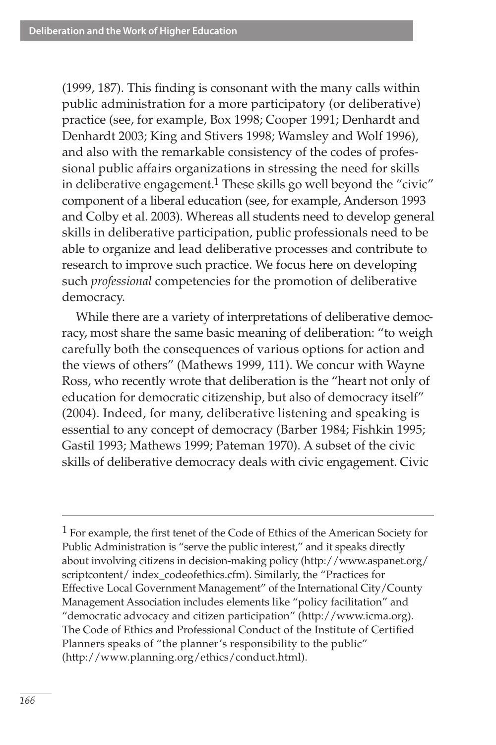(1999, 187). This finding is consonant with the many calls within public administration for a more participatory (or deliberative) practice (see, for example, Box 1998; Cooper 1991; Denhardt and Denhardt 2003; King and Stivers 1998; Wamsley and Wolf 1996), and also with the remarkable consistency of the codes of professional public affairs organizations in stressing the need for skills in deliberative engagement.<sup>1</sup> These skills go well beyond the "civic" component of a liberal education (see, for example, Anderson 1993 and Colby et al. 2003). Whereas all students need to develop general skills in deliberative participation, public professionals need to be able to organize and lead deliberative processes and contribute to research to improve such practice. We focus here on developing such professional competencies for the promotion of deliberative democracy.

While there are a variety of interpretations of deliberative democracy, most share the same basic meaning of deliberation: "to weigh carefully both the consequences of various options for action and the views of others" (Mathews 1999, 111). We concur with Wayne Ross, who recently wrote that deliberation is the "heart not only of education for democratic citizenship, but also of democracy itself" (2004). Indeed, for many, deliberative listening and speaking is essential to any concept of democracy (Barber 1984; Fishkin 1995; Gastil 1993; Mathews 1999; Pateman 1970). A subset of the civic skills of deliberative democracy deals with civic engagement. Civic

<sup>&</sup>lt;sup>1</sup> For example, the first tenet of the Code of Ethics of the American Society for Public Administration is "serve the public interest," and it speaks directly about involving citizens in decision-making policy (http://www.aspanet.org/ scriptcontent/index\_codeofethics.cfm). Similarly, the "Practices for Effective Local Government Management" of the International City/County Management Association includes elements like "policy facilitation" and "democratic advocacy and citizen participation" (http://www.icma.org). The Code of Ethics and Professional Conduct of the Institute of Certified Planners speaks of "the planner's responsibility to the public" (http://www.planning.org/ethics/conduct.html).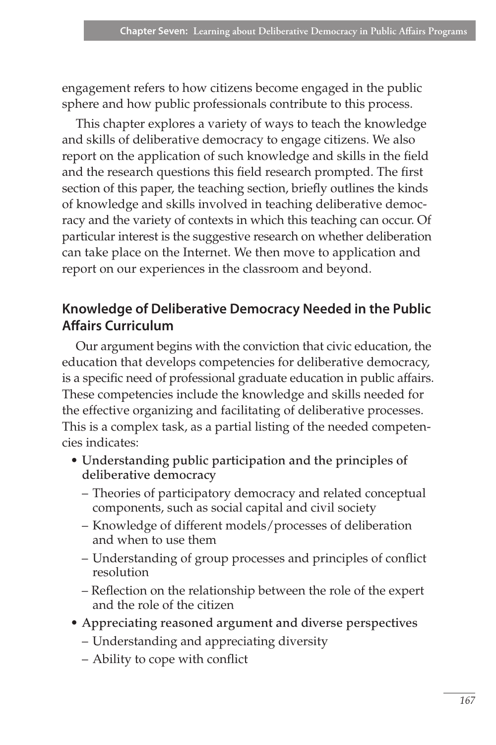engagement refers to how citizens become engaged in the public sphere and how public professionals contribute to this process.

This chapter explores a variety of ways to teach the knowledge and skills of deliberative democracy to engage citizens. We also report on the application of such knowledge and skills in the field and the research questions this field research prompted. The first section of this paper, the teaching section, briefly outlines the kinds of knowledge and skills involved in teaching deliberative democracy and the variety of contexts in which this teaching can occur. Of particular interest is the suggestive research on whether deliberation can take place on the Internet. We then move to application and report on our experiences in the classroom and beyond.

# Knowledge of Deliberative Democracy Needed in the Public **Affairs Curriculum**

Our argument begins with the conviction that civic education, the education that develops competencies for deliberative democracy, is a specific need of professional graduate education in public affairs. These competencies include the knowledge and skills needed for the effective organizing and facilitating of deliberative processes. This is a complex task, as a partial listing of the needed competencies indicates:

- Understanding public participation and the principles of deliberative democracy
	- Theories of participatory democracy and related conceptual components, such as social capital and civil society
	- Knowledge of different models/processes of deliberation and when to use them
	- Understanding of group processes and principles of conflict resolution
	- Reflection on the relationship between the role of the expert and the role of the citizen
- Appreciating reasoned argument and diverse perspectives
	- Understanding and appreciating diversity
	- Ability to cope with conflict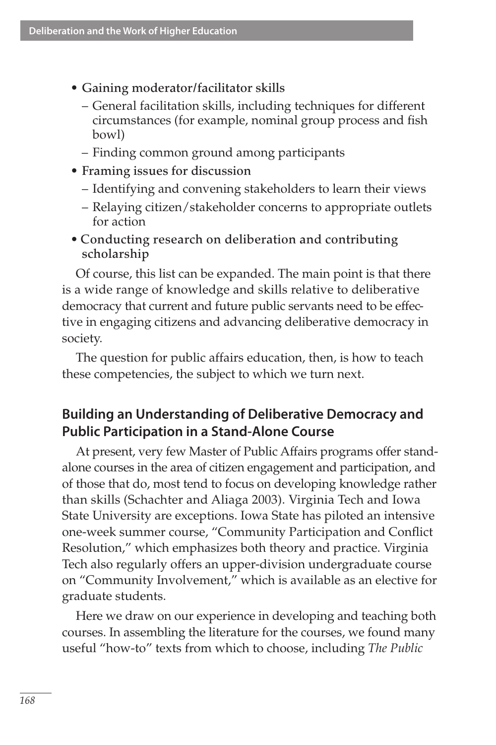- · Gaining moderator/facilitator skills
	- General facilitation skills, including techniques for different circumstances (for example, nominal group process and fish bowl)
	- Finding common ground among participants
- Framing issues for discussion
	- Identifying and convening stakeholders to learn their views
	- Relaying citizen/stakeholder concerns to appropriate outlets for action
- Conducting research on deliberation and contributing scholarship

Of course, this list can be expanded. The main point is that there is a wide range of knowledge and skills relative to deliberative democracy that current and future public servants need to be effective in engaging citizens and advancing deliberative democracy in society.

The question for public affairs education, then, is how to teach these competencies, the subject to which we turn next.

# **Building an Understanding of Deliberative Democracy and Public Participation in a Stand-Alone Course**

At present, very few Master of Public Affairs programs offer standalone courses in the area of citizen engagement and participation, and of those that do, most tend to focus on developing knowledge rather than skills (Schachter and Aliaga 2003). Virginia Tech and Iowa State University are exceptions. Iowa State has piloted an intensive one-week summer course, "Community Participation and Conflict Resolution," which emphasizes both theory and practice. Virginia Tech also regularly offers an upper-division undergraduate course on "Community Involvement," which is available as an elective for graduate students.

Here we draw on our experience in developing and teaching both courses. In assembling the literature for the courses, we found many useful "how-to" texts from which to choose, including The Public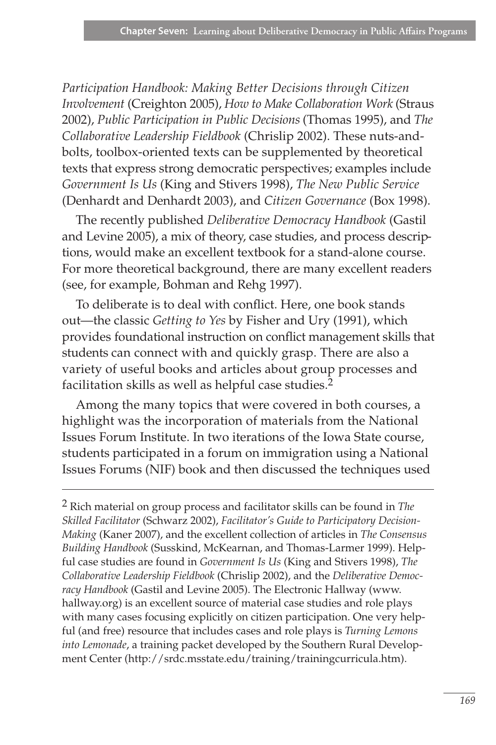Participation Handbook: Making Better Decisions through Citizen Involvement (Creighton 2005), How to Make Collaboration Work (Straus 2002), Public Participation in Public Decisions (Thomas 1995), and The Collaborative Leadership Fieldbook (Chrislip 2002). These nuts-andbolts, toolbox-oriented texts can be supplemented by theoretical texts that express strong democratic perspectives; examples include Government Is Us (King and Stivers 1998), The New Public Service (Denhardt and Denhardt 2003), and Citizen Governance (Box 1998).

The recently published Deliberative Democracy Handbook (Gastil and Levine 2005), a mix of theory, case studies, and process descriptions, would make an excellent textbook for a stand-alone course. For more theoretical background, there are many excellent readers (see, for example, Bohman and Rehg 1997).

To deliberate is to deal with conflict. Here, one book stands out-the classic Getting to Yes by Fisher and Ury (1991), which provides foundational instruction on conflict management skills that students can connect with and quickly grasp. There are also a variety of useful books and articles about group processes and facilitation skills as well as helpful case studies.<sup>2</sup>

Among the many topics that were covered in both courses, a highlight was the incorporation of materials from the National Issues Forum Institute. In two iterations of the Iowa State course, students participated in a forum on immigration using a National Issues Forums (NIF) book and then discussed the techniques used

 $2$  Rich material on group process and facilitator skills can be found in The Skilled Facilitator (Schwarz 2002), Facilitator's Guide to Participatory Decision-Making (Kaner 2007), and the excellent collection of articles in The Consensus Building Handbook (Susskind, McKearnan, and Thomas-Larmer 1999). Helpful case studies are found in Government Is Us (King and Stivers 1998), The Collaborative Leadership Fieldbook (Chrislip 2002), and the Deliberative Democracy Handbook (Gastil and Levine 2005). The Electronic Hallway (www. hallway.org) is an excellent source of material case studies and role plays with many cases focusing explicitly on citizen participation. One very helpful (and free) resource that includes cases and role plays is Turning Lemons into Lemonade, a training packet developed by the Southern Rural Development Center (http://srdc.msstate.edu/training/trainingcurricula.htm).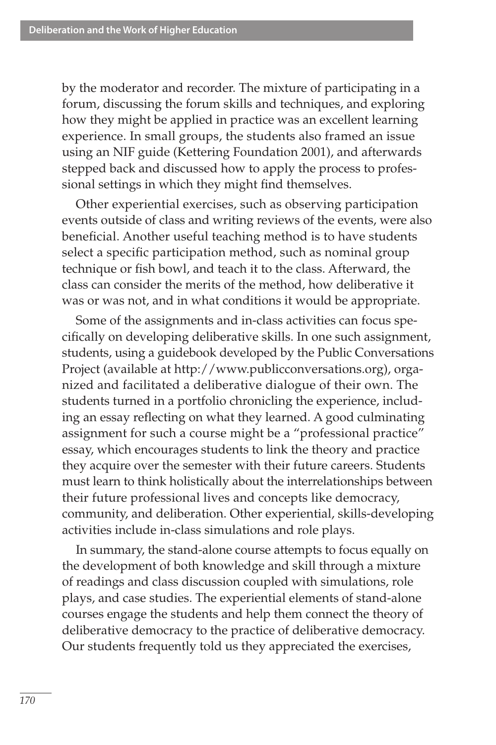by the moderator and recorder. The mixture of participating in a forum, discussing the forum skills and techniques, and exploring how they might be applied in practice was an excellent learning experience. In small groups, the students also framed an issue using an NIF guide (Kettering Foundation 2001), and afterwards stepped back and discussed how to apply the process to professional settings in which they might find themselves.

Other experiential exercises, such as observing participation events outside of class and writing reviews of the events, were also beneficial. Another useful teaching method is to have students select a specific participation method, such as nominal group technique or fish bowl, and teach it to the class. Afterward, the class can consider the merits of the method, how deliberative it was or was not, and in what conditions it would be appropriate.

Some of the assignments and in-class activities can focus specifically on developing deliberative skills. In one such assignment, students, using a guidebook developed by the Public Conversations Project (available at http://www.publicconversations.org), organized and facilitated a deliberative dialogue of their own. The students turned in a portfolio chronicling the experience, including an essay reflecting on what they learned. A good culminating assignment for such a course might be a "professional practice" essay, which encourages students to link the theory and practice they acquire over the semester with their future careers. Students must learn to think holistically about the interrelationships between their future professional lives and concepts like democracy, community, and deliberation. Other experiential, skills-developing activities include in-class simulations and role plays.

In summary, the stand-alone course attempts to focus equally on the development of both knowledge and skill through a mixture of readings and class discussion coupled with simulations, role plays, and case studies. The experiential elements of stand-alone courses engage the students and help them connect the theory of deliberative democracy to the practice of deliberative democracy. Our students frequently told us they appreciated the exercises,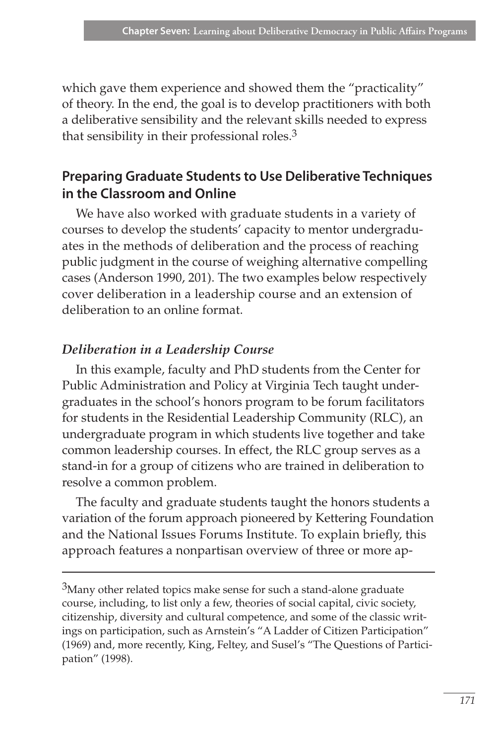which gave them experience and showed them the "practicality" of theory. In the end, the goal is to develop practitioners with both a deliberative sensibility and the relevant skills needed to express that sensibility in their professional roles.<sup>3</sup>

# **Preparing Graduate Students to Use Deliberative Techniques** in the Classroom and Online

We have also worked with graduate students in a variety of courses to develop the students' capacity to mentor undergraduates in the methods of deliberation and the process of reaching public judgment in the course of weighing alternative compelling cases (Anderson 1990, 201). The two examples below respectively cover deliberation in a leadership course and an extension of deliberation to an online format.

## Deliberation in a Leadership Course

In this example, faculty and PhD students from the Center for Public Administration and Policy at Virginia Tech taught undergraduates in the school's honors program to be forum facilitators for students in the Residential Leadership Community (RLC), an undergraduate program in which students live together and take common leadership courses. In effect, the RLC group serves as a stand-in for a group of citizens who are trained in deliberation to resolve a common problem.

The faculty and graduate students taught the honors students a variation of the forum approach pioneered by Kettering Foundation and the National Issues Forums Institute. To explain briefly, this approach features a nonpartisan overview of three or more ap-

<sup>3</sup>Many other related topics make sense for such a stand-alone graduate course, including, to list only a few, theories of social capital, civic society, citizenship, diversity and cultural competence, and some of the classic writings on participation, such as Arnstein's "A Ladder of Citizen Participation" (1969) and, more recently, King, Feltey, and Susel's "The Questions of Participation" (1998).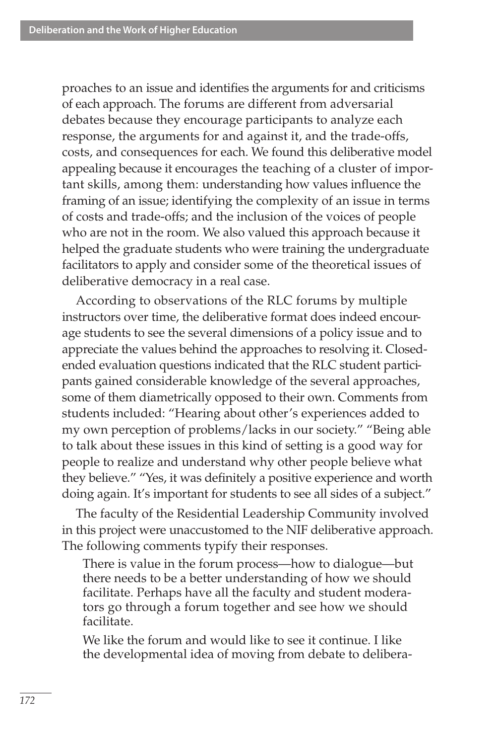proaches to an issue and identifies the arguments for and criticisms of each approach. The forums are different from adversarial debates because they encourage participants to analyze each response, the arguments for and against it, and the trade-offs, costs, and consequences for each. We found this deliberative model appealing because it encourages the teaching of a cluster of important skills, among them: understanding how values influence the framing of an issue; identifying the complexity of an issue in terms of costs and trade-offs; and the inclusion of the voices of people who are not in the room. We also valued this approach because it helped the graduate students who were training the undergraduate facilitators to apply and consider some of the theoretical issues of deliberative democracy in a real case.

According to observations of the RLC forums by multiple instructors over time, the deliberative format does indeed encourage students to see the several dimensions of a policy issue and to appreciate the values behind the approaches to resolving it. Closedended evaluation questions indicated that the RLC student participants gained considerable knowledge of the several approaches, some of them diametrically opposed to their own. Comments from students included: "Hearing about other's experiences added to my own perception of problems/lacks in our society." "Being able to talk about these issues in this kind of setting is a good way for people to realize and understand why other people believe what they believe." "Yes, it was definitely a positive experience and worth doing again. It's important for students to see all sides of a subject."

The faculty of the Residential Leadership Community involved in this project were unaccustomed to the NIF deliberative approach. The following comments typify their responses.

There is value in the forum process—how to dialogue—but there needs to be a better understanding of how we should facilitate. Perhaps have all the faculty and student moderators go through a forum together and see how we should facilitate.

We like the forum and would like to see it continue. I like the developmental idea of moving from debate to delibera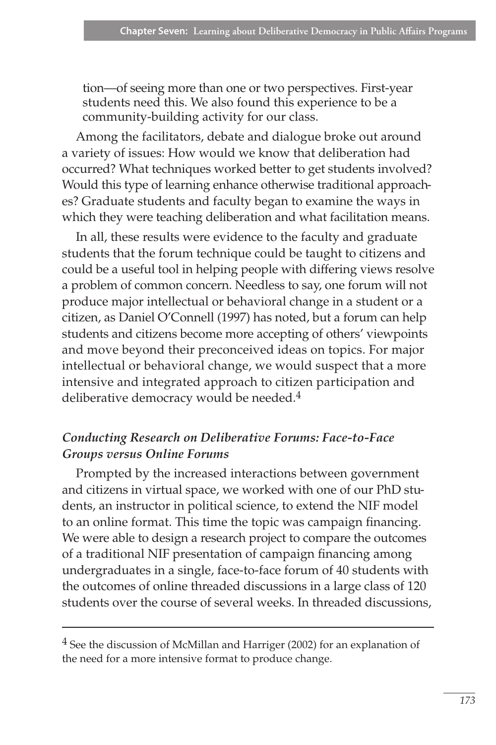tion-of seeing more than one or two perspectives. First-year students need this. We also found this experience to be a community-building activity for our class.

Among the facilitators, debate and dialogue broke out around a variety of issues: How would we know that deliberation had occurred? What techniques worked better to get students involved? Would this type of learning enhance otherwise traditional approaches? Graduate students and faculty began to examine the ways in which they were teaching deliberation and what facilitation means.

In all, these results were evidence to the faculty and graduate students that the forum technique could be taught to citizens and could be a useful tool in helping people with differing views resolve a problem of common concern. Needless to say, one forum will not produce major intellectual or behavioral change in a student or a citizen, as Daniel O'Connell (1997) has noted, but a forum can help students and citizens become more accepting of others' viewpoints and move beyond their preconceived ideas on topics. For major intellectual or behavioral change, we would suspect that a more intensive and integrated approach to citizen participation and deliberative democracy would be needed.<sup>4</sup>

## Conducting Research on Deliberative Forums: Face-to-Face **Groups versus Online Forums**

Prompted by the increased interactions between government and citizens in virtual space, we worked with one of our PhD students, an instructor in political science, to extend the NIF model to an online format. This time the topic was campaign financing. We were able to design a research project to compare the outcomes of a traditional NIF presentation of campaign financing among undergraduates in a single, face-to-face forum of 40 students with the outcomes of online threaded discussions in a large class of 120 students over the course of several weeks. In threaded discussions,

 $4$  See the discussion of McMillan and Harriger (2002) for an explanation of the need for a more intensive format to produce change.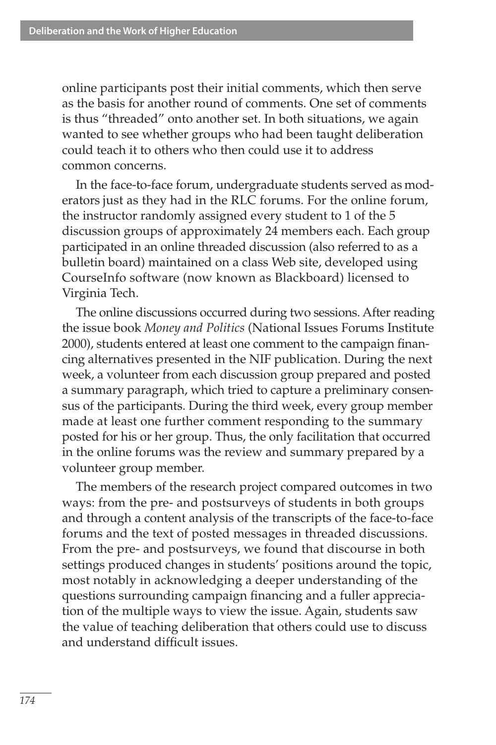online participants post their initial comments, which then serve as the basis for another round of comments. One set of comments is thus "threaded" onto another set. In both situations, we again wanted to see whether groups who had been taught deliberation could teach it to others who then could use it to address common concerns.

In the face-to-face forum, undergraduate students served as moderators just as they had in the RLC forums. For the online forum, the instructor randomly assigned every student to 1 of the 5 discussion groups of approximately 24 members each. Each group participated in an online threaded discussion (also referred to as a bulletin board) maintained on a class Web site, developed using CourseInfo software (now known as Blackboard) licensed to Virginia Tech.

The online discussions occurred during two sessions. After reading the issue book Money and Politics (National Issues Forums Institute 2000), students entered at least one comment to the campaign financing alternatives presented in the NIF publication. During the next week, a volunteer from each discussion group prepared and posted a summary paragraph, which tried to capture a preliminary consensus of the participants. During the third week, every group member made at least one further comment responding to the summary posted for his or her group. Thus, the only facilitation that occurred in the online forums was the review and summary prepared by a volunteer group member.

The members of the research project compared outcomes in two ways: from the pre- and postsurveys of students in both groups and through a content analysis of the transcripts of the face-to-face forums and the text of posted messages in threaded discussions. From the pre- and postsurveys, we found that discourse in both settings produced changes in students' positions around the topic, most notably in acknowledging a deeper understanding of the questions surrounding campaign financing and a fuller appreciation of the multiple ways to view the issue. Again, students saw the value of teaching deliberation that others could use to discuss and understand difficult issues.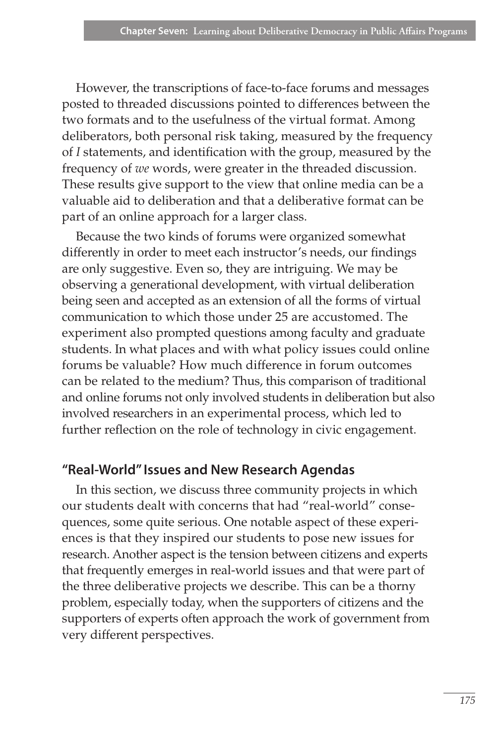However, the transcriptions of face-to-face forums and messages posted to threaded discussions pointed to differences between the two formats and to the usefulness of the virtual format. Among deliberators, both personal risk taking, measured by the frequency of I statements, and identification with the group, measured by the frequency of we words, were greater in the threaded discussion. These results give support to the view that online media can be a valuable aid to deliberation and that a deliberative format can be part of an online approach for a larger class.

Because the two kinds of forums were organized somewhat differently in order to meet each instructor's needs, our findings are only suggestive. Even so, they are intriguing. We may be observing a generational development, with virtual deliberation being seen and accepted as an extension of all the forms of virtual communication to which those under 25 are accustomed. The experiment also prompted questions among faculty and graduate students. In what places and with what policy issues could online forums be valuable? How much difference in forum outcomes can be related to the medium? Thus, this comparison of traditional and online forums not only involved students in deliberation but also involved researchers in an experimental process, which led to further reflection on the role of technology in civic engagement.

## "Real-World" Issues and New Research Agendas

In this section, we discuss three community projects in which our students dealt with concerns that had "real-world" consequences, some quite serious. One notable aspect of these experiences is that they inspired our students to pose new issues for research. Another aspect is the tension between citizens and experts that frequently emerges in real-world issues and that were part of the three deliberative projects we describe. This can be a thorny problem, especially today, when the supporters of citizens and the supporters of experts often approach the work of government from very different perspectives.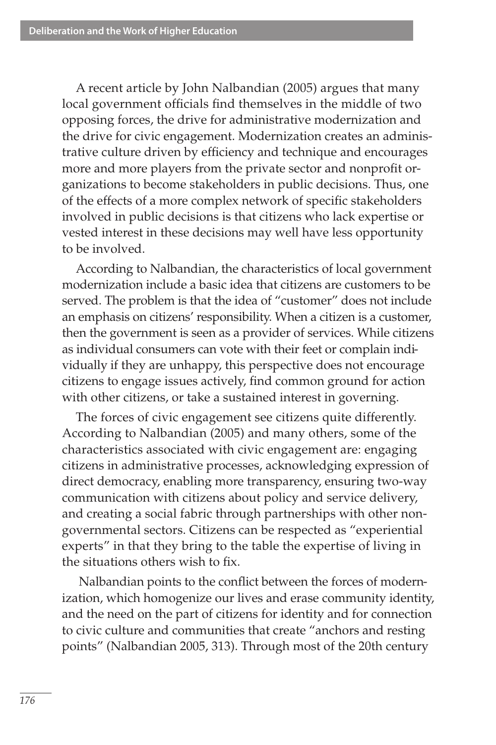A recent article by John Nalbandian (2005) argues that many local government officials find themselves in the middle of two opposing forces, the drive for administrative modernization and the drive for civic engagement. Modernization creates an administrative culture driven by efficiency and technique and encourages more and more players from the private sector and nonprofit organizations to become stakeholders in public decisions. Thus, one of the effects of a more complex network of specific stakeholders involved in public decisions is that citizens who lack expertise or vested interest in these decisions may well have less opportunity to be involved.

According to Nalbandian, the characteristics of local government modernization include a basic idea that citizens are customers to be served. The problem is that the idea of "customer" does not include an emphasis on citizens' responsibility. When a citizen is a customer, then the government is seen as a provider of services. While citizens as individual consumers can vote with their feet or complain individually if they are unhappy, this perspective does not encourage citizens to engage issues actively, find common ground for action with other citizens, or take a sustained interest in governing.

The forces of civic engagement see citizens quite differently. According to Nalbandian (2005) and many others, some of the characteristics associated with civic engagement are: engaging citizens in administrative processes, acknowledging expression of direct democracy, enabling more transparency, ensuring two-way communication with citizens about policy and service delivery, and creating a social fabric through partnerships with other nongovernmental sectors. Citizens can be respected as "experiential experts" in that they bring to the table the expertise of living in the situations others wish to fix.

Nalbandian points to the conflict between the forces of modernization, which homogenize our lives and erase community identity, and the need on the part of citizens for identity and for connection to civic culture and communities that create "anchors and resting points" (Nalbandian 2005, 313). Through most of the 20th century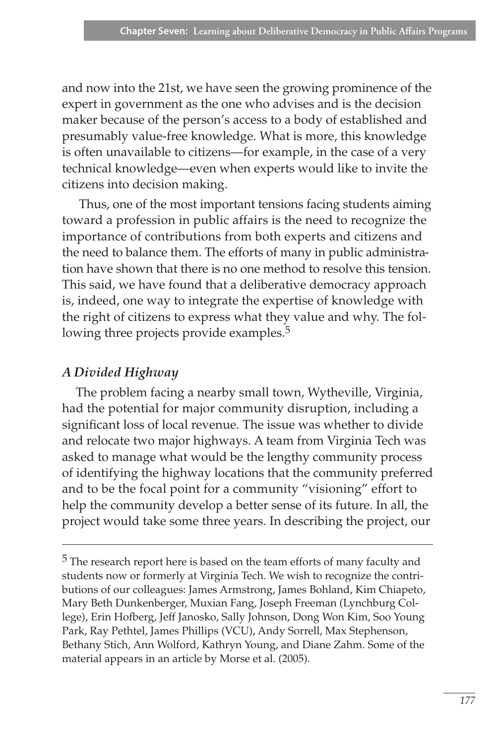and now into the 21st, we have seen the growing prominence of the expert in government as the one who advises and is the decision maker because of the person's access to a body of established and presumably value-free knowledge. What is more, this knowledge is often unavailable to citizens-for example, in the case of a very technical knowledge—even when experts would like to invite the citizens into decision making.

Thus, one of the most important tensions facing students aiming toward a profession in public affairs is the need to recognize the importance of contributions from both experts and citizens and the need to balance them. The efforts of many in public administration have shown that there is no one method to resolve this tension. This said, we have found that a deliberative democracy approach is, indeed, one way to integrate the expertise of knowledge with the right of citizens to express what they value and why. The following three projects provide examples.<sup>5</sup>

## A Divided Highway

The problem facing a nearby small town, Wytheville, Virginia, had the potential for major community disruption, including a significant loss of local revenue. The issue was whether to divide and relocate two major highways. A team from Virginia Tech was asked to manage what would be the lengthy community process of identifying the highway locations that the community preferred and to be the focal point for a community "visioning" effort to help the community develop a better sense of its future. In all, the project would take some three years. In describing the project, our

 $5$  The research report here is based on the team efforts of many faculty and students now or formerly at Virginia Tech. We wish to recognize the contributions of our colleagues: James Armstrong, James Bohland, Kim Chiapeto, Mary Beth Dunkenberger, Muxian Fang, Joseph Freeman (Lynchburg College), Erin Hofberg, Jeff Janosko, Sally Johnson, Dong Won Kim, Soo Young Park, Ray Pethtel, James Phillips (VCU), Andy Sorrell, Max Stephenson, Bethany Stich, Ann Wolford, Kathryn Young, and Diane Zahm. Some of the material appears in an article by Morse et al. (2005).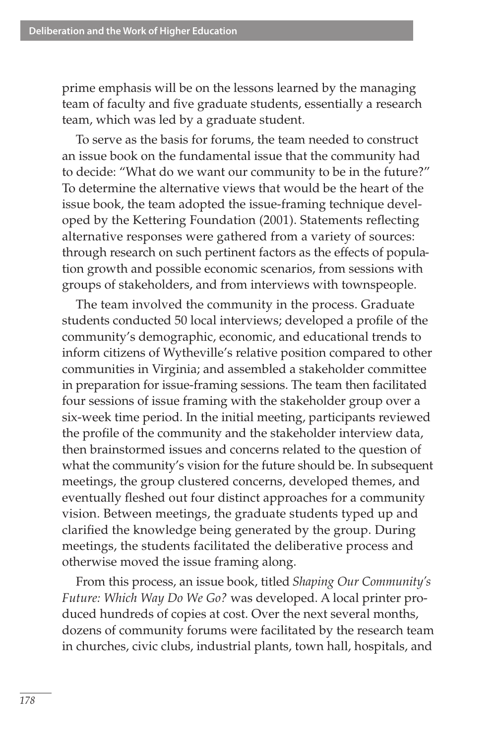prime emphasis will be on the lessons learned by the managing team of faculty and five graduate students, essentially a research team, which was led by a graduate student.

To serve as the basis for forums, the team needed to construct an issue book on the fundamental issue that the community had to decide: "What do we want our community to be in the future?" To determine the alternative views that would be the heart of the issue book, the team adopted the issue-framing technique developed by the Kettering Foundation (2001). Statements reflecting alternative responses were gathered from a variety of sources: through research on such pertinent factors as the effects of population growth and possible economic scenarios, from sessions with groups of stakeholders, and from interviews with townspeople.

The team involved the community in the process. Graduate students conducted 50 local interviews; developed a profile of the community's demographic, economic, and educational trends to inform citizens of Wytheville's relative position compared to other communities in Virginia; and assembled a stakeholder committee in preparation for issue-framing sessions. The team then facilitated four sessions of issue framing with the stakeholder group over a six-week time period. In the initial meeting, participants reviewed the profile of the community and the stakeholder interview data, then brainstormed issues and concerns related to the question of what the community's vision for the future should be. In subsequent meetings, the group clustered concerns, developed themes, and eventually fleshed out four distinct approaches for a community vision. Between meetings, the graduate students typed up and clarified the knowledge being generated by the group. During meetings, the students facilitated the deliberative process and otherwise moved the issue framing along.

From this process, an issue book, titled Shaping Our Community's Future: Which Way Do We Go? was developed. A local printer produced hundreds of copies at cost. Over the next several months, dozens of community forums were facilitated by the research team in churches, civic clubs, industrial plants, town hall, hospitals, and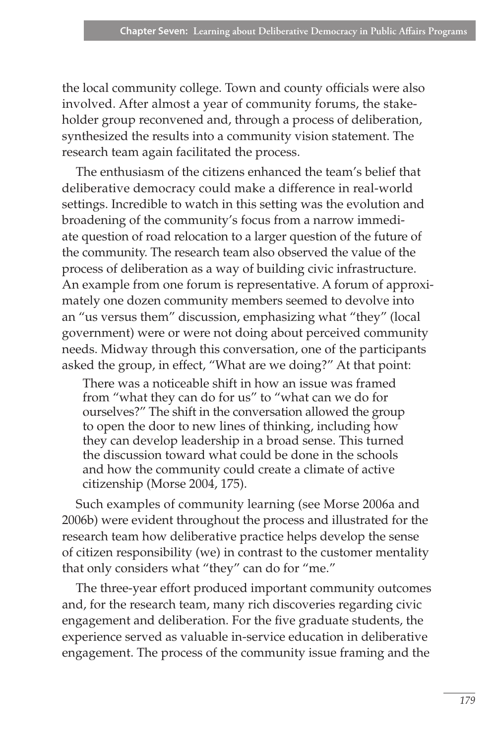the local community college. Town and county officials were also involved. After almost a year of community forums, the stakeholder group reconvened and, through a process of deliberation, synthesized the results into a community vision statement. The research team again facilitated the process.

The enthusiasm of the citizens enhanced the team's belief that deliberative democracy could make a difference in real-world settings. Incredible to watch in this setting was the evolution and broadening of the community's focus from a narrow immediate question of road relocation to a larger question of the future of the community. The research team also observed the value of the process of deliberation as a way of building civic infrastructure. An example from one forum is representative. A forum of approximately one dozen community members seemed to devolve into an "us versus them" discussion, emphasizing what "they" (local government) were or were not doing about perceived community needs. Midway through this conversation, one of the participants asked the group, in effect, "What are we doing?" At that point:

There was a noticeable shift in how an issue was framed from "what they can do for us" to "what can we do for ourselves?" The shift in the conversation allowed the group to open the door to new lines of thinking, including how they can develop leadership in a broad sense. This turned the discussion toward what could be done in the schools and how the community could create a climate of active citizenship (Morse 2004, 175).

Such examples of community learning (see Morse 2006a and 2006b) were evident throughout the process and illustrated for the research team how deliberative practice helps develop the sense of citizen responsibility (we) in contrast to the customer mentality that only considers what "they" can do for "me."

The three-year effort produced important community outcomes and, for the research team, many rich discoveries regarding civic engagement and deliberation. For the five graduate students, the experience served as valuable in-service education in deliberative engagement. The process of the community issue framing and the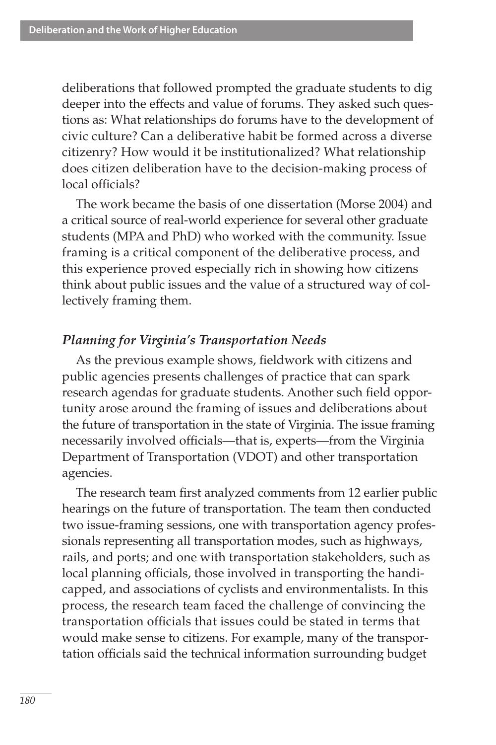deliberations that followed prompted the graduate students to dig deeper into the effects and value of forums. They asked such questions as: What relationships do forums have to the development of civic culture? Can a deliberative habit be formed across a diverse citizenry? How would it be institutionalized? What relationship does citizen deliberation have to the decision-making process of local officials?

The work became the basis of one dissertation (Morse 2004) and a critical source of real-world experience for several other graduate students (MPA and PhD) who worked with the community. Issue framing is a critical component of the deliberative process, and this experience proved especially rich in showing how citizens think about public issues and the value of a structured way of collectively framing them.

## Planning for Virginia's Transportation Needs

As the previous example shows, fieldwork with citizens and public agencies presents challenges of practice that can spark research agendas for graduate students. Another such field opportunity arose around the framing of issues and deliberations about the future of transportation in the state of Virginia. The issue framing necessarily involved officials—that is, experts—from the Virginia Department of Transportation (VDOT) and other transportation agencies.

The research team first analyzed comments from 12 earlier public hearings on the future of transportation. The team then conducted two issue-framing sessions, one with transportation agency professionals representing all transportation modes, such as highways, rails, and ports; and one with transportation stakeholders, such as local planning officials, those involved in transporting the handicapped, and associations of cyclists and environmentalists. In this process, the research team faced the challenge of convincing the transportation officials that issues could be stated in terms that would make sense to citizens. For example, many of the transportation officials said the technical information surrounding budget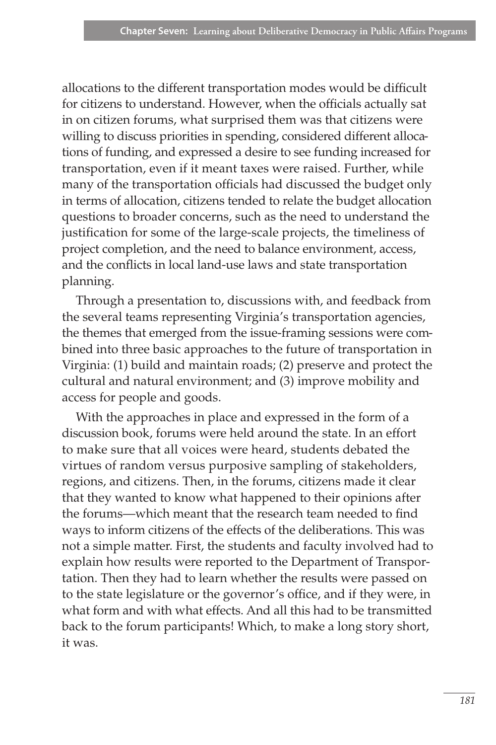allocations to the different transportation modes would be difficult for citizens to understand. However, when the officials actually sat in on citizen forums, what surprised them was that citizens were willing to discuss priorities in spending, considered different allocations of funding, and expressed a desire to see funding increased for transportation, even if it meant taxes were raised. Further, while many of the transportation officials had discussed the budget only in terms of allocation, citizens tended to relate the budget allocation questions to broader concerns, such as the need to understand the justification for some of the large-scale projects, the timeliness of project completion, and the need to balance environment, access, and the conflicts in local land-use laws and state transportation planning.

Through a presentation to, discussions with, and feedback from the several teams representing Virginia's transportation agencies, the themes that emerged from the issue-framing sessions were combined into three basic approaches to the future of transportation in Virginia: (1) build and maintain roads; (2) preserve and protect the cultural and natural environment; and (3) improve mobility and access for people and goods.

With the approaches in place and expressed in the form of a discussion book, forums were held around the state. In an effort to make sure that all voices were heard, students debated the virtues of random versus purposive sampling of stakeholders, regions, and citizens. Then, in the forums, citizens made it clear that they wanted to know what happened to their opinions after the forums—which meant that the research team needed to find ways to inform citizens of the effects of the deliberations. This was not a simple matter. First, the students and faculty involved had to explain how results were reported to the Department of Transportation. Then they had to learn whether the results were passed on to the state legislature or the governor's office, and if they were, in what form and with what effects. And all this had to be transmitted back to the forum participants! Which, to make a long story short, it was.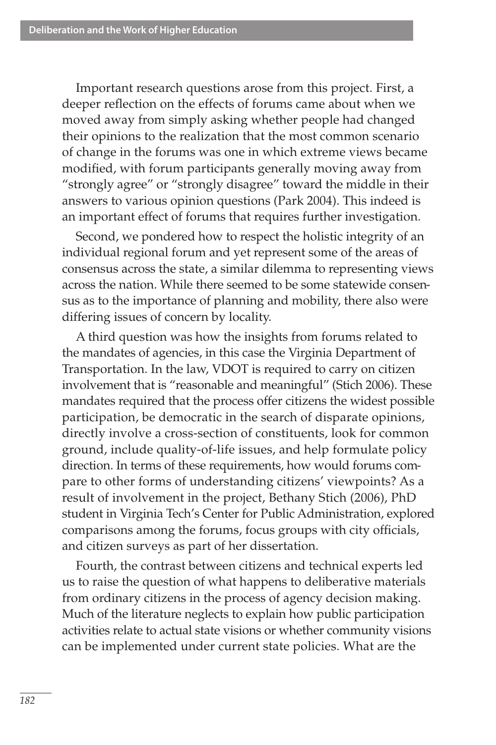Important research questions arose from this project. First, a deeper reflection on the effects of forums came about when we moved away from simply asking whether people had changed their opinions to the realization that the most common scenario of change in the forums was one in which extreme views became modified, with forum participants generally moving away from "strongly agree" or "strongly disagree" toward the middle in their answers to various opinion questions (Park 2004). This indeed is an important effect of forums that requires further investigation.

Second, we pondered how to respect the holistic integrity of an individual regional forum and yet represent some of the areas of consensus across the state, a similar dilemma to representing views across the nation. While there seemed to be some statewide consensus as to the importance of planning and mobility, there also were differing issues of concern by locality.

A third question was how the insights from forums related to the mandates of agencies, in this case the Virginia Department of Transportation. In the law, VDOT is required to carry on citizen involvement that is "reasonable and meaningful" (Stich 2006). These mandates required that the process offer citizens the widest possible participation, be democratic in the search of disparate opinions, directly involve a cross-section of constituents, look for common ground, include quality-of-life issues, and help formulate policy direction. In terms of these requirements, how would forums compare to other forms of understanding citizens' viewpoints? As a result of involvement in the project, Bethany Stich (2006), PhD student in Virginia Tech's Center for Public Administration, explored comparisons among the forums, focus groups with city officials, and citizen surveys as part of her dissertation.

Fourth, the contrast between citizens and technical experts led us to raise the question of what happens to deliberative materials from ordinary citizens in the process of agency decision making. Much of the literature neglects to explain how public participation activities relate to actual state visions or whether community visions can be implemented under current state policies. What are the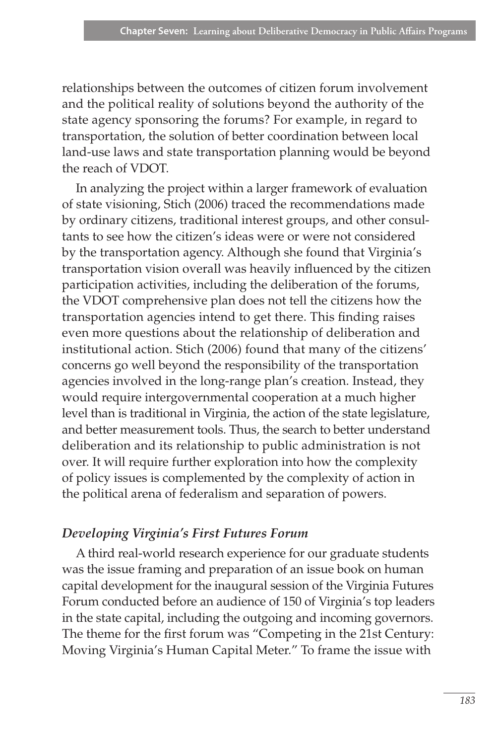relationships between the outcomes of citizen forum involvement and the political reality of solutions beyond the authority of the state agency sponsoring the forums? For example, in regard to transportation, the solution of better coordination between local land-use laws and state transportation planning would be beyond the reach of VDOT.

In analyzing the project within a larger framework of evaluation of state visioning, Stich (2006) traced the recommendations made by ordinary citizens, traditional interest groups, and other consultants to see how the citizen's ideas were or were not considered by the transportation agency. Although she found that Virginia's transportation vision overall was heavily influenced by the citizen participation activities, including the deliberation of the forums, the VDOT comprehensive plan does not tell the citizens how the transportation agencies intend to get there. This finding raises even more questions about the relationship of deliberation and institutional action. Stich (2006) found that many of the citizens' concerns go well beyond the responsibility of the transportation agencies involved in the long-range plan's creation. Instead, they would require intergovernmental cooperation at a much higher level than is traditional in Virginia, the action of the state legislature, and better measurement tools. Thus, the search to better understand deliberation and its relationship to public administration is not over. It will require further exploration into how the complexity of policy issues is complemented by the complexity of action in the political arena of federalism and separation of powers.

### Developing Virginia's First Futures Forum

A third real-world research experience for our graduate students was the issue framing and preparation of an issue book on human capital development for the inaugural session of the Virginia Futures Forum conducted before an audience of 150 of Virginia's top leaders in the state capital, including the outgoing and incoming governors. The theme for the first forum was "Competing in the 21st Century: Moving Virginia's Human Capital Meter." To frame the issue with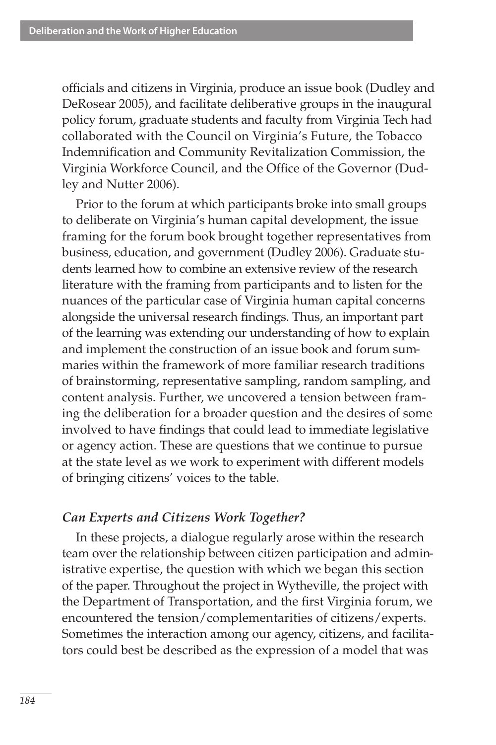officials and citizens in Virginia, produce an issue book (Dudley and DeRosear 2005), and facilitate deliberative groups in the inaugural policy forum, graduate students and faculty from Virginia Tech had collaborated with the Council on Virginia's Future, the Tobacco Indemnification and Community Revitalization Commission, the Virginia Workforce Council, and the Office of the Governor (Dudley and Nutter 2006).

Prior to the forum at which participants broke into small groups to deliberate on Virginia's human capital development, the issue framing for the forum book brought together representatives from business, education, and government (Dudley 2006). Graduate students learned how to combine an extensive review of the research literature with the framing from participants and to listen for the nuances of the particular case of Virginia human capital concerns alongside the universal research findings. Thus, an important part of the learning was extending our understanding of how to explain and implement the construction of an issue book and forum summaries within the framework of more familiar research traditions of brainstorming, representative sampling, random sampling, and content analysis. Further, we uncovered a tension between framing the deliberation for a broader question and the desires of some involved to have findings that could lead to immediate legislative or agency action. These are questions that we continue to pursue at the state level as we work to experiment with different models of bringing citizens' voices to the table.

#### **Can Experts and Citizens Work Together?**

In these projects, a dialogue regularly arose within the research team over the relationship between citizen participation and administrative expertise, the question with which we began this section of the paper. Throughout the project in Wytheville, the project with the Department of Transportation, and the first Virginia forum, we encountered the tension/complementarities of citizens/experts. Sometimes the interaction among our agency, citizens, and facilitators could best be described as the expression of a model that was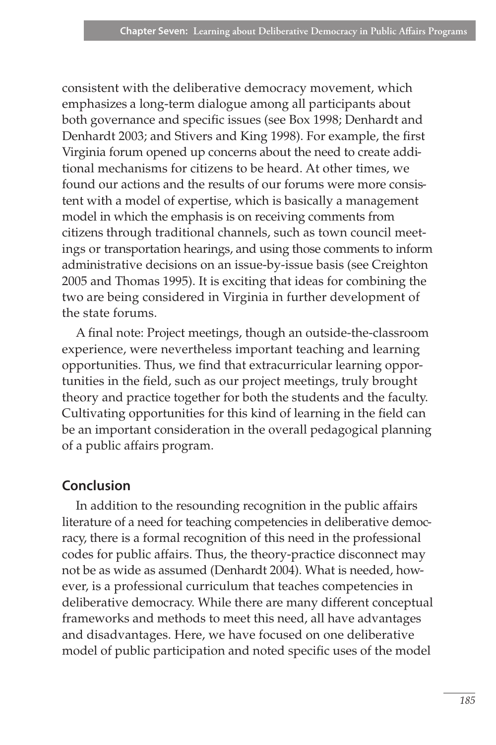consistent with the deliberative democracy movement, which emphasizes a long-term dialogue among all participants about both governance and specific issues (see Box 1998; Denhardt and Denhardt 2003; and Stivers and King 1998). For example, the first Virginia forum opened up concerns about the need to create additional mechanisms for citizens to be heard. At other times, we found our actions and the results of our forums were more consistent with a model of expertise, which is basically a management model in which the emphasis is on receiving comments from citizens through traditional channels, such as town council meetings or transportation hearings, and using those comments to inform administrative decisions on an issue-by-issue basis (see Creighton 2005 and Thomas 1995). It is exciting that ideas for combining the two are being considered in Virginia in further development of the state forums.

A final note: Project meetings, though an outside-the-classroom experience, were nevertheless important teaching and learning opportunities. Thus, we find that extracurricular learning opportunities in the field, such as our project meetings, truly brought theory and practice together for both the students and the faculty. Cultivating opportunities for this kind of learning in the field can be an important consideration in the overall pedagogical planning of a public affairs program.

#### **Conclusion**

In addition to the resounding recognition in the public affairs literature of a need for teaching competencies in deliberative democracy, there is a formal recognition of this need in the professional codes for public affairs. Thus, the theory-practice disconnect may not be as wide as assumed (Denhardt 2004). What is needed, however, is a professional curriculum that teaches competencies in deliberative democracy. While there are many different conceptual frameworks and methods to meet this need, all have advantages and disadvantages. Here, we have focused on one deliberative model of public participation and noted specific uses of the model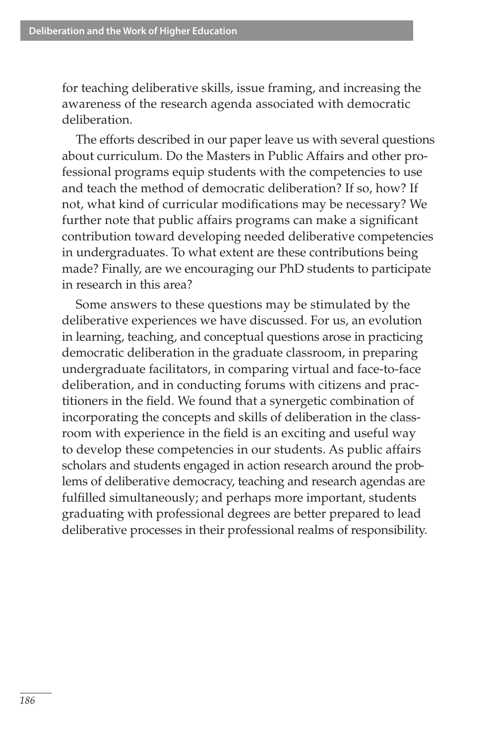for teaching deliberative skills, issue framing, and increasing the awareness of the research agenda associated with democratic deliberation.

The efforts described in our paper leave us with several questions about curriculum. Do the Masters in Public Affairs and other professional programs equip students with the competencies to use and teach the method of democratic deliberation? If so, how? If not, what kind of curricular modifications may be necessary? We further note that public affairs programs can make a significant contribution toward developing needed deliberative competencies in undergraduates. To what extent are these contributions being made? Finally, are we encouraging our PhD students to participate in research in this area?

Some answers to these questions may be stimulated by the deliberative experiences we have discussed. For us, an evolution in learning, teaching, and conceptual questions arose in practicing democratic deliberation in the graduate classroom, in preparing undergraduate facilitators, in comparing virtual and face-to-face deliberation, and in conducting forums with citizens and practitioners in the field. We found that a synergetic combination of incorporating the concepts and skills of deliberation in the classroom with experience in the field is an exciting and useful way to develop these competencies in our students. As public affairs scholars and students engaged in action research around the problems of deliberative democracy, teaching and research agendas are fulfilled simultaneously; and perhaps more important, students graduating with professional degrees are better prepared to lead deliberative processes in their professional realms of responsibility.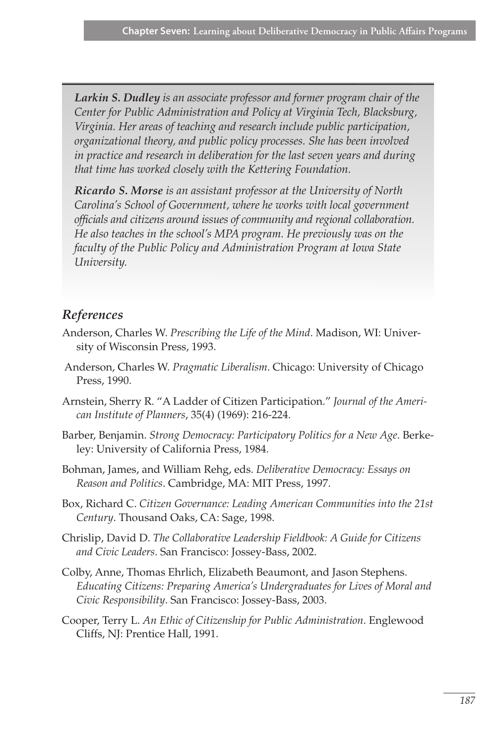Larkin S. Dudley is an associate professor and former program chair of the Center for Public Administration and Policy at Virginia Tech, Blacksburg, Virginia. Her areas of teaching and research include public participation, organizational theory, and public policy processes. She has been involved in practice and research in deliberation for the last seven years and during that time has worked closely with the Kettering Foundation.

Ricardo S. Morse is an assistant professor at the University of North Carolina's School of Government, where he works with local government officials and citizens around issues of community and regional collaboration. He also teaches in the school's MPA program. He previously was on the faculty of the Public Policy and Administration Program at Iowa State University.

#### References

- Anderson, Charles W. Prescribing the Life of the Mind. Madison, WI: University of Wisconsin Press, 1993.
- Anderson, Charles W. Pragmatic Liberalism. Chicago: University of Chicago Press, 1990.
- Arnstein, Sherry R. "A Ladder of Citizen Participation." Journal of the American Institute of Planners, 35(4) (1969): 216-224.
- Barber, Benjamin. Strong Democracy: Participatory Politics for a New Age. Berkeley: University of California Press, 1984.
- Bohman, James, and William Rehg, eds. Deliberative Democracy: Essays on Reason and Politics. Cambridge, MA: MIT Press, 1997.
- Box, Richard C. Citizen Governance: Leading American Communities into the 21st Century. Thousand Oaks, CA: Sage, 1998.
- Chrislip, David D. The Collaborative Leadership Fieldbook: A Guide for Citizens and Civic Leaders. San Francisco: Jossey-Bass, 2002.
- Colby, Anne, Thomas Ehrlich, Elizabeth Beaumont, and Jason Stephens. Educating Citizens: Preparing America's Undergraduates for Lives of Moral and Civic Responsibility. San Francisco: Jossey-Bass, 2003.
- Cooper, Terry L. An Ethic of Citizenship for Public Administration. Englewood Cliffs, NJ: Prentice Hall, 1991.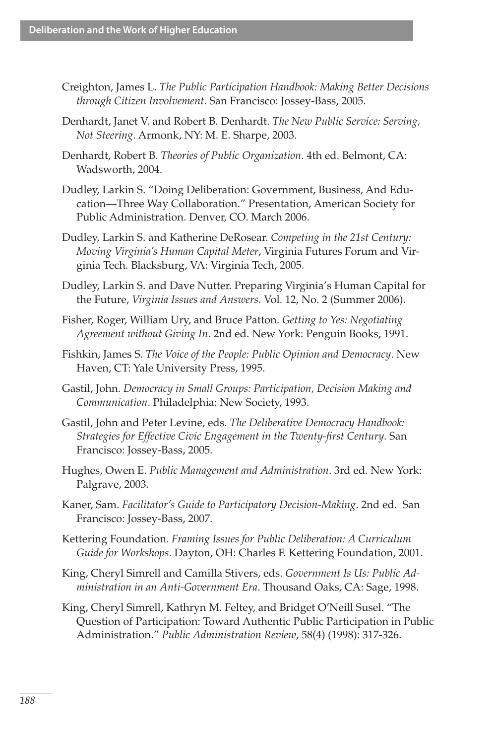- Creighton, James L. The Public Participation Handbook: Making Better Decisions through Citizen Involvement. San Francisco: Jossey-Bass, 2005.
- Denhardt, Janet V. and Robert B. Denhardt. The New Public Service: Serving, Not Steering. Armonk, NY: M. E. Sharpe, 2003.
- Denhardt, Robert B. Theories of Public Organization. 4th ed. Belmont, CA: Wadsworth, 2004.
- Dudley, Larkin S. "Doing Deliberation: Government, Business, And Education-Three Way Collaboration." Presentation, American Society for Public Administration. Denver, CO. March 2006.
- Dudley, Larkin S. and Katherine DeRosear. Competing in the 21st Century: Moving Virginia's Human Capital Meter, Virginia Futures Forum and Virginia Tech. Blacksburg, VA: Virginia Tech, 2005.
- Dudley, Larkin S. and Dave Nutter. Preparing Virginia's Human Capital for the Future, Virginia Issues and Answers. Vol. 12, No. 2 (Summer 2006).
- Fisher, Roger, William Ury, and Bruce Patton. Getting to Yes: Negotiating Agreement without Giving In. 2nd ed. New York: Penguin Books, 1991.
- Fishkin, James S. The Voice of the People: Public Opinion and Democracy. New Haven, CT: Yale University Press, 1995.
- Gastil, John. Democracy in Small Groups: Participation, Decision Making and Communication. Philadelphia: New Society, 1993.
- Gastil, John and Peter Levine, eds. The Deliberative Democracy Handbook: Strategies for Effective Civic Engagement in the Twenty-first Century. San Francisco: Jossey-Bass, 2005.
- Hughes, Owen E. Public Management and Administration. 3rd ed. New York: Palgrave, 2003.
- Kaner, Sam. Facilitator's Guide to Participatory Decision-Making. 2nd ed. San Francisco: Jossey-Bass, 2007.
- Kettering Foundation. Framing Issues for Public Deliberation: A Curriculum Guide for Workshops. Dayton, OH: Charles F. Kettering Foundation, 2001.
- King, Cheryl Simrell and Camilla Stivers, eds. Government Is Us: Public Administration in an Anti-Government Era. Thousand Oaks, CA: Sage, 1998.
- King, Cheryl Simrell, Kathryn M. Feltey, and Bridget O'Neill Susel. "The Question of Participation: Toward Authentic Public Participation in Public Administration." Public Administration Review, 58(4) (1998): 317-326.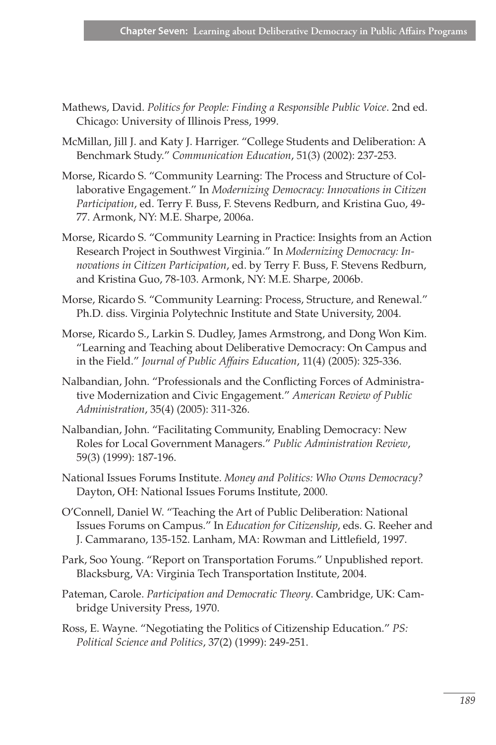- Mathews, David. Politics for People: Finding a Responsible Public Voice. 2nd ed. Chicago: University of Illinois Press, 1999.
- McMillan, Jill J. and Katy J. Harriger. "College Students and Deliberation: A Benchmark Study." Communication Education, 51(3) (2002): 237-253.
- Morse, Ricardo S. "Community Learning: The Process and Structure of Collaborative Engagement." In Modernizing Democracy: Innovations in Citizen Participation, ed. Terry F. Buss, F. Stevens Redburn, and Kristina Guo, 49-77. Armonk, NY: M.E. Sharpe, 2006a.
- Morse, Ricardo S. "Community Learning in Practice: Insights from an Action Research Project in Southwest Virginia." In Modernizing Democracy: Innovations in Citizen Participation, ed. by Terry F. Buss, F. Stevens Redburn, and Kristina Guo, 78-103. Armonk, NY: M.E. Sharpe, 2006b.
- Morse, Ricardo S. "Community Learning: Process, Structure, and Renewal." Ph.D. diss. Virginia Polytechnic Institute and State University, 2004.
- Morse, Ricardo S., Larkin S. Dudley, James Armstrong, and Dong Won Kim. "Learning and Teaching about Deliberative Democracy: On Campus and in the Field." Journal of Public Affairs Education, 11(4) (2005): 325-336.
- Nalbandian, John. "Professionals and the Conflicting Forces of Administrative Modernization and Civic Engagement." American Review of Public Administration, 35(4) (2005): 311-326.
- Nalbandian, John. "Facilitating Community, Enabling Democracy: New Roles for Local Government Managers." Public Administration Review, 59(3) (1999): 187-196.
- National Issues Forums Institute. Money and Politics: Who Owns Democracy? Dayton, OH: National Issues Forums Institute, 2000.
- O'Connell, Daniel W. "Teaching the Art of Public Deliberation: National Issues Forums on Campus." In Education for Citizenship, eds. G. Reeher and J. Cammarano, 135-152. Lanham, MA: Rowman and Littlefield, 1997.
- Park, Soo Young. "Report on Transportation Forums." Unpublished report. Blacksburg, VA: Virginia Tech Transportation Institute, 2004.
- Pateman, Carole. Participation and Democratic Theory. Cambridge, UK: Cambridge University Press, 1970.
- Ross, E. Wayne. "Negotiating the Politics of Citizenship Education." PS: Political Science and Politics, 37(2) (1999): 249-251.